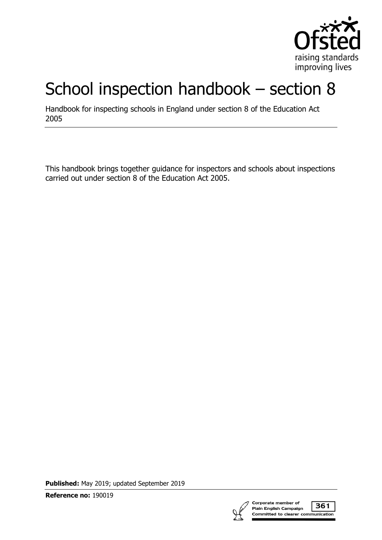

# School inspection handbook – section 8

Handbook for inspecting schools in England under section 8 of the Education Act 2005

This handbook brings together guidance for inspectors and schools about inspections carried out under section 8 of the Education Act 2005.

**Published:** May 2019; updated September 2019

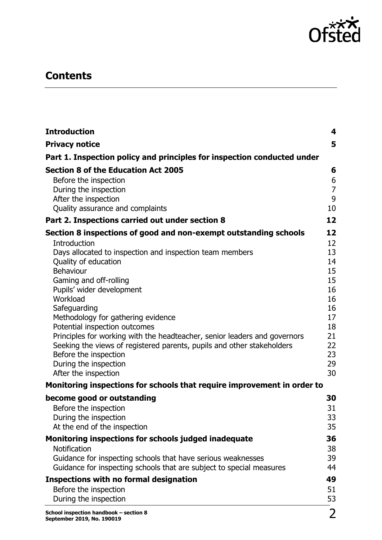

# **Contents**

| <b>Introduction</b>                                                       | $\overline{\mathbf{4}}$ |
|---------------------------------------------------------------------------|-------------------------|
| <b>Privacy notice</b>                                                     | 5                       |
| Part 1. Inspection policy and principles for inspection conducted under   |                         |
| <b>Section 8 of the Education Act 2005</b>                                | 6                       |
| Before the inspection                                                     | 6                       |
| During the inspection                                                     | $\overline{7}$          |
| After the inspection                                                      | 9                       |
| Quality assurance and complaints                                          | 10                      |
| Part 2. Inspections carried out under section 8                           | 12                      |
| Section 8 inspections of good and non-exempt outstanding schools          | 12                      |
| Introduction                                                              | 12                      |
| Days allocated to inspection and inspection team members                  | 13                      |
| Quality of education                                                      | 14                      |
| Behaviour                                                                 | 15                      |
| Gaming and off-rolling                                                    | 15                      |
| Pupils' wider development                                                 | 16                      |
| Workload                                                                  | 16                      |
| Safeguarding                                                              | 16<br>17                |
| Methodology for gathering evidence<br>Potential inspection outcomes       | 18                      |
| Principles for working with the headteacher, senior leaders and governors | 21                      |
| Seeking the views of registered parents, pupils and other stakeholders    | 22                      |
| Before the inspection                                                     | 23                      |
| During the inspection                                                     | 29                      |
| After the inspection                                                      | 30                      |
| Monitoring inspections for schools that require improvement in order to   |                         |
| become good or outstanding                                                | 30                      |
| Before the inspection                                                     | 31                      |
| During the inspection                                                     | 33                      |
| At the end of the inspection                                              | 35                      |
| Monitoring inspections for schools judged inadequate                      | 36                      |
| Notification                                                              | 38                      |
| Guidance for inspecting schools that have serious weaknesses              | 39                      |
| Guidance for inspecting schools that are subject to special measures      | 44                      |
| <b>Inspections with no formal designation</b>                             | 49                      |
| Before the inspection                                                     | 51                      |
| During the inspection                                                     | 53                      |
| School inspection handbook - section 8<br>September 2019, No. 190019      | $\overline{2}$          |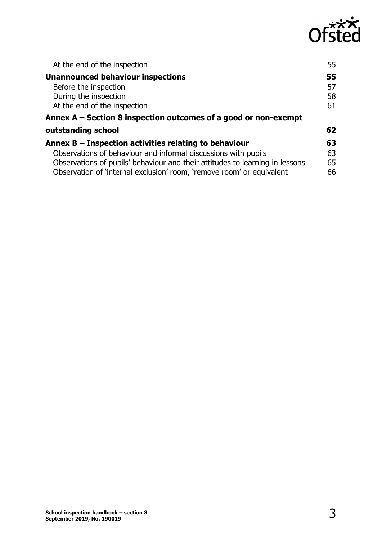

| At the end of the inspection                                                 | 55 |
|------------------------------------------------------------------------------|----|
| <b>Unannounced behaviour inspections</b>                                     | 55 |
| Before the inspection                                                        | 57 |
| During the inspection                                                        | 58 |
| At the end of the inspection                                                 | 61 |
| Annex $A -$ Section 8 inspection outcomes of a good or non-exempt            |    |
| outstanding school                                                           | 62 |
| Annex $B$ – Inspection activities relating to behaviour                      | 63 |
| Observations of behaviour and informal discussions with pupils               | 63 |
| Observations of pupils' behaviour and their attitudes to learning in lessons | 65 |
| Observation of 'internal exclusion' room, 'remove room' or equivalent        | 66 |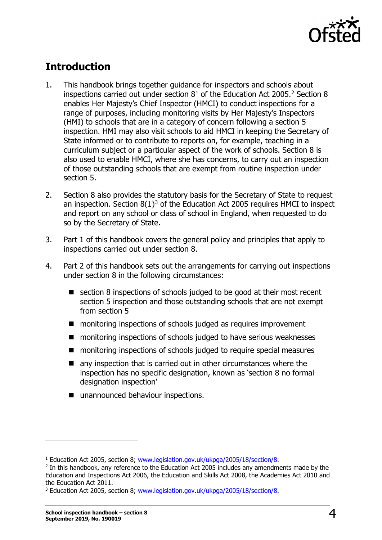

# <span id="page-3-0"></span>**Introduction**

- 1. This handbook brings together guidance for inspectors and schools about inspections carried out under section  $8<sup>1</sup>$  $8<sup>1</sup>$  $8<sup>1</sup>$  of the Education Act [2](#page-3-2)005.<sup>2</sup> Section 8 enables Her Majesty's Chief Inspector (HMCI) to conduct inspections for a range of purposes, including monitoring visits by Her Majesty's Inspectors (HMI) to schools that are in a category of concern following a section 5 inspection. HMI may also visit schools to aid HMCI in keeping the Secretary of State informed or to contribute to reports on, for example, teaching in a curriculum subject or a particular aspect of the work of schools. Section 8 is also used to enable HMCI, where she has concerns, to carry out an inspection of those outstanding schools that are exempt from routine inspection under section 5.
- 2. Section 8 also provides the statutory basis for the Secretary of State to request an inspection. Section  $8(1)^3$  $8(1)^3$  of the Education Act 2005 requires HMCI to inspect and report on any school or class of school in England, when requested to do so by the Secretary of State.
- 3. Part 1 of this handbook covers the general policy and principles that apply to inspections carried out under section 8.
- 4. Part 2 of this handbook sets out the arrangements for carrying out inspections under section 8 in the following circumstances:
	- section 8 inspections of schools judged to be good at their most recent section 5 inspection and those outstanding schools that are not exempt from section 5
	- monitoring inspections of schools judged as requires improvement
	- monitoring inspections of schools judged to have serious weaknesses
	- monitoring inspections of schools judged to require special measures
	- any inspection that is carried out in other circumstances where the inspection has no specific designation, known as 'section 8 no formal designation inspection'
	- unannounced behaviour inspections.

<span id="page-3-1"></span><sup>&</sup>lt;sup>1</sup> Education Act 2005, section 8; [www.legislation.gov.uk/ukpga/2005/18/section/8.](http://www.legislation.gov.uk/ukpga/2005/18/section/8)<br><sup>2</sup> In this handbook, any reference to the Education Act 2005 includes any amendments made by the

<span id="page-3-2"></span>Education and Inspections Act 2006, the Education and Skills Act 2008, the Academies Act 2010 and

<span id="page-3-3"></span><sup>&</sup>lt;sup>3</sup> Education Act 2005, section 8; [www.legislation.gov.uk/ukpga/2005/18/section/8.](http://www.legislation.gov.uk/ukpga/2005/18/section/8)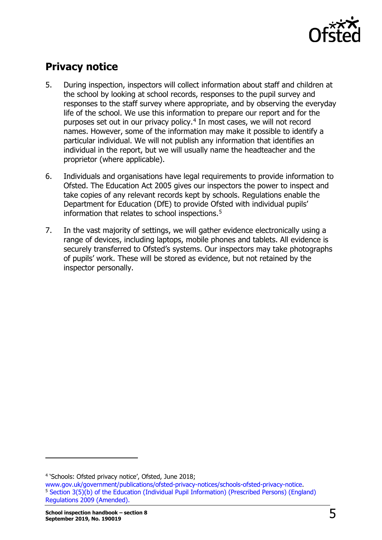

# <span id="page-4-0"></span>**Privacy notice**

- 5. During inspection, inspectors will collect information about staff and children at the school by looking at school records, responses to the pupil survey and responses to the staff survey where appropriate, and by observing the everyday life of the school. We use this information to prepare our report and for the purposes set out in our privacy policy.<sup>[4](#page-4-1)</sup> In most cases, we will not record names. However, some of the information may make it possible to identify a particular individual. We will not publish any information that identifies an individual in the report, but we will usually name the headteacher and the proprietor (where applicable).
- 6. Individuals and organisations have legal requirements to provide information to Ofsted. The Education Act 2005 gives our inspectors the power to inspect and take copies of any relevant records kept by schools. Regulations enable the Department for Education (DfE) to provide Ofsted with individual pupils' information that relates to school inspections.<sup>5</sup>
- 7. In the vast majority of settings, we will gather evidence electronically using a range of devices, including laptops, mobile phones and tablets. All evidence is securely transferred to Ofsted's systems. Our inspectors may take photographs of pupils' work. These will be stored as evidence, but not retained by the inspector personally.

<span id="page-4-2"></span><span id="page-4-1"></span>

<sup>&</sup>lt;sup>4</sup> 'Schools: Ofsted privacy notice', Ofsted, June 2018;<br>www.gov.uk/government/publications/ofsted-privacy-notices/schools-ofsted-privacy-notice. <sup>5</sup> Section 3(5)(b) of the Education (Individual Pupil Information) (Prescribed Persons) (England) [Regulations 2009 \(Amended\).](http://www.legislation.gov.uk/uksi/2009/1563/made)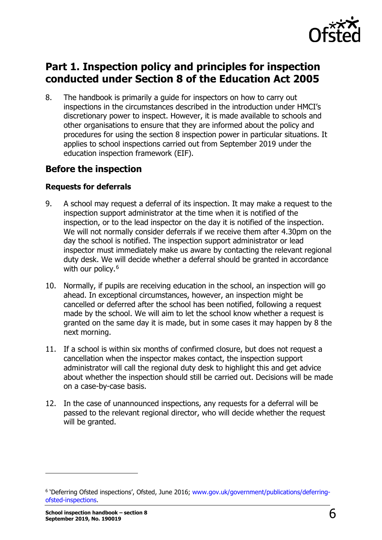

# <span id="page-5-0"></span>**Part 1. Inspection policy and principles for inspection conducted under Section 8 of the Education Act 2005**

8. The handbook is primarily a guide for inspectors on how to carry out inspections in the circumstances described in the introduction under HMCI's discretionary power to inspect. However, it is made available to schools and other organisations to ensure that they are informed about the policy and procedures for using the section 8 inspection power in particular situations. It applies to school inspections carried out from September 2019 under the education inspection framework (EIF).

# <span id="page-5-1"></span>**Before the inspection**

#### **Requests for deferrals**

- 9. A school may request a deferral of its inspection. It may make a request to the inspection support administrator at the time when it is notified of the inspection, or to the lead inspector on the day it is notified of the inspection. We will not normally consider deferrals if we receive them after 4.30pm on the day the school is notified. The inspection support administrator or lead inspector must immediately make us aware by contacting the relevant regional duty desk. We will decide whether a deferral should be granted in accordance with our policy.<sup>[6](#page-5-2)</sup>
- 10. Normally, if pupils are receiving education in the school, an inspection will go ahead. In exceptional circumstances, however, an inspection might be cancelled or deferred after the school has been notified, following a request made by the school. We will aim to let the school know whether a request is granted on the same day it is made, but in some cases it may happen by 8 the next morning.
- 11. If a school is within six months of confirmed closure, but does not request a cancellation when the inspector makes contact, the inspection support administrator will call the regional duty desk to highlight this and get advice about whether the inspection should still be carried out. Decisions will be made on a case-by-case basis.
- 12. In the case of unannounced inspections, any requests for a deferral will be passed to the relevant regional director, who will decide whether the request will be granted.

<span id="page-5-2"></span><sup>&</sup>lt;sup>6</sup> 'Deferring Ofsted inspections', Ofsted, June 2016; [www.gov.uk/government/publications/deferring](http://www.gov.uk/government/publications/deferring-ofsted-inspections)[ofsted-inspections.](http://www.gov.uk/government/publications/deferring-ofsted-inspections)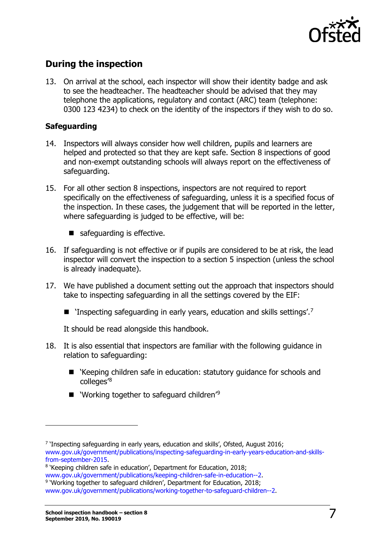

# <span id="page-6-0"></span>**During the inspection**

13. On arrival at the school, each inspector will show their identity badge and ask to see the headteacher. The headteacher should be advised that they may telephone the applications, regulatory and contact (ARC) team (telephone: 0300 123 4234) to check on the identity of the inspectors if they wish to do so.

#### **Safeguarding**

- 14. Inspectors will always consider how well children, pupils and learners are helped and protected so that they are kept safe. Section 8 inspections of good and non-exempt outstanding schools will always report on the effectiveness of safeguarding.
- 15. For all other section 8 inspections, inspectors are not required to report specifically on the effectiveness of safeguarding, unless it is a specified focus of the inspection. In these cases, the judgement that will be reported in the letter, where safeguarding is judged to be effective, will be:
	- safeguarding is effective.
- 16. If safeguarding is not effective or if pupils are considered to be at risk, the lead inspector will convert the inspection to a section 5 inspection (unless the school is already inadequate).
- 17. We have published a document setting out the approach that inspectors should take to inspecting safeguarding in all the settings covered by the EIF:
	- **T** 'Inspecting safeguarding in early years, education and skills settings'.<sup>[7](#page-6-1)</sup>

It should be read alongside this handbook.

- 18. It is also essential that inspectors are familiar with the following guidance in relation to safeguarding:
	- 'Keeping children safe in education: statutory guidance for schools and colleges'[8](#page-6-2)
	- $\blacksquare$  'Working together to safeguard children'<sup>[9](#page-6-3)</sup>

<span id="page-6-1"></span><sup>7 &#</sup>x27;Inspecting safeguarding in early years, education and skills', Ofsted, August 2016; www.gov.uk/government/publications/inspecting-safeguarding-in-early-years-education-and-skills-<br>from-september-2015.

<span id="page-6-2"></span><sup>&</sup>lt;sup>8</sup> 'Keeping children safe in education', Department for Education, 2018;<br>www.gov.uk/government/publications/keeping-children-safe-in-education--2. <sup>9</sup> 'Working together to safeguard children', Department for Education, 2018;

<span id="page-6-3"></span>[www.gov.uk/government/publications/working-together-to-safeguard-children--2.](http://www.gov.uk/government/publications/working-together-to-safeguard-children--2)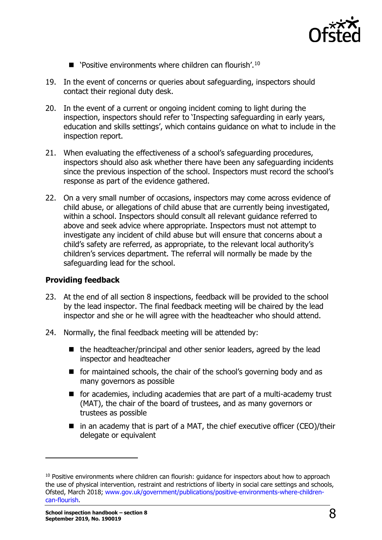

- $\blacksquare$  'Positive environments where children can flourish'.<sup>[10](#page-7-0)</sup>
- 19. In the event of concerns or queries about safeguarding, inspectors should contact their regional duty desk.
- 20. In the event of a current or ongoing incident coming to light during the inspection, inspectors should refer to 'Inspecting safeguarding in early years, education and skills settings', which contains guidance on what to include in the inspection report.
- 21. When evaluating the effectiveness of a school's safeguarding procedures, inspectors should also ask whether there have been any safeguarding incidents since the previous inspection of the school. Inspectors must record the school's response as part of the evidence gathered.
- 22. On a very small number of occasions, inspectors may come across evidence of child abuse, or allegations of child abuse that are currently being investigated, within a school. Inspectors should consult all relevant guidance referred to above and seek advice where appropriate. Inspectors must not attempt to investigate any incident of child abuse but will ensure that concerns about a child's safety are referred, as appropriate, to the relevant local authority's children's services department. The referral will normally be made by the safeguarding lead for the school.

#### **Providing feedback**

- 23. At the end of all section 8 inspections, feedback will be provided to the school by the lead inspector. The final feedback meeting will be chaired by the lead inspector and she or he will agree with the headteacher who should attend.
- 24. Normally, the final feedback meeting will be attended by:
	- the headteacher/principal and other senior leaders, agreed by the lead inspector and headteacher
	- **for maintained schools, the chair of the school's governing body and as** many governors as possible
	- $\blacksquare$  for academies, including academies that are part of a multi-academy trust (MAT), the chair of the board of trustees, and as many governors or trustees as possible
	- $\blacksquare$  in an academy that is part of a MAT, the chief executive officer (CEO)/their delegate or equivalent

<span id="page-7-0"></span> $10$  Positive environments where children can flourish: quidance for inspectors about how to approach the use of physical intervention, restraint and restrictions of liberty in social care settings and schools, Ofsted, March 2018; [www.gov.uk/government/publications/positive-environments-where-children](http://www.gov.uk/government/publications/positive-environments-where-children-can-flourish)[can-flourish.](http://www.gov.uk/government/publications/positive-environments-where-children-can-flourish)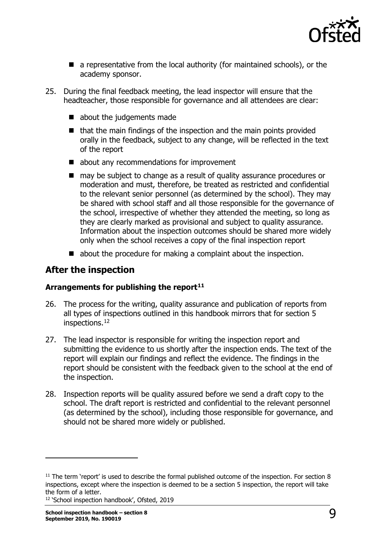

- a representative from the local authority (for maintained schools), or the academy sponsor.
- 25. During the final feedback meeting, the lead inspector will ensure that the headteacher, those responsible for governance and all attendees are clear:
	- about the judgements made
	- $\blacksquare$  that the main findings of the inspection and the main points provided orally in the feedback, subject to any change, will be reflected in the text of the report
	- about any recommendations for improvement
	- may be subject to change as a result of quality assurance procedures or moderation and must, therefore, be treated as restricted and confidential to the relevant senior personnel (as determined by the school). They may be shared with school staff and all those responsible for the governance of the school, irrespective of whether they attended the meeting, so long as they are clearly marked as provisional and subject to quality assurance. Information about the inspection outcomes should be shared more widely only when the school receives a copy of the final inspection report
	- about the procedure for making a complaint about the inspection.

### <span id="page-8-0"></span>**After the inspection**

#### **Arrangements for publishing the report[11](#page-8-1)**

- 26. The process for the writing, quality assurance and publication of reports from all types of inspections outlined in this handbook mirrors that for section 5 inspections.[12](#page-8-2)
- 27. The lead inspector is responsible for writing the inspection report and submitting the evidence to us shortly after the inspection ends. The text of the report will explain our findings and reflect the evidence. The findings in the report should be consistent with the feedback given to the school at the end of the inspection.
- 28. Inspection reports will be quality assured before we send a draft copy to the school. The draft report is restricted and confidential to the relevant personnel (as determined by the school), including those responsible for governance, and should not be shared more widely or published.

<span id="page-8-2"></span><sup>12</sup> 'School inspection handbook', Ofsted, 2019

<span id="page-8-1"></span> $11$  The term 'report' is used to describe the formal published outcome of the inspection. For section 8 inspections, except where the inspection is deemed to be a section 5 inspection, the report will take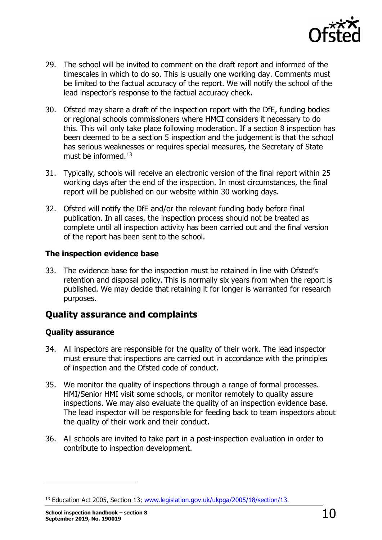

- 29. The school will be invited to comment on the draft report and informed of the timescales in which to do so. This is usually one working day. Comments must be limited to the factual accuracy of the report. We will notify the school of the lead inspector's response to the factual accuracy check.
- 30. Ofsted may share a draft of the inspection report with the DfE, funding bodies or regional schools commissioners where HMCI considers it necessary to do this. This will only take place following moderation. If a section 8 inspection has been deemed to be a section 5 inspection and the judgement is that the school has serious weaknesses or requires special measures, the Secretary of State must be informed.<sup>[13](#page-9-1)</sup>
- 31. Typically, schools will receive an electronic version of the final report within 25 working days after the end of the inspection. In most circumstances, the final report will be published on our website within 30 working days.
- 32. Ofsted will notify the DfE and/or the relevant funding body before final publication. In all cases, the inspection process should not be treated as complete until all inspection activity has been carried out and the final version of the report has been sent to the school.

#### **The inspection evidence base**

33. The evidence base for the inspection must be retained in line with Ofsted's retention and disposal policy. This is normally six years from when the report is published. We may decide that retaining it for longer is warranted for research purposes.

# <span id="page-9-0"></span>**Quality assurance and complaints**

#### **Quality assurance**

- 34. All inspectors are responsible for the quality of their work. The lead inspector must ensure that inspections are carried out in accordance with the principles of inspection and the Ofsted code of conduct.
- 35. We monitor the quality of inspections through a range of formal processes. HMI/Senior HMI visit some schools, or monitor remotely to quality assure inspections. We may also evaluate the quality of an inspection evidence base. The lead inspector will be responsible for feeding back to team inspectors about the quality of their work and their conduct.
- 36. All schools are invited to take part in a post-inspection evaluation in order to contribute to inspection development.

<span id="page-9-1"></span><sup>&</sup>lt;sup>13</sup> Education Act 2005, Section 13; [www.legislation.gov.uk/ukpga/2005/18/section/13.](http://www.legislation.gov.uk/ukpga/2005/18/section/13)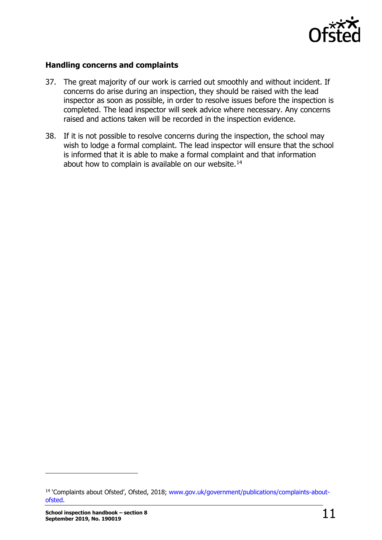

#### **Handling concerns and complaints**

- 37. The great majority of our work is carried out smoothly and without incident. If concerns do arise during an inspection, they should be raised with the lead inspector as soon as possible, in order to resolve issues before the inspection is completed. The lead inspector will seek advice where necessary. Any concerns raised and actions taken will be recorded in the inspection evidence.
- 38. If it is not possible to resolve concerns during the inspection, the school may wish to lodge a formal complaint. The lead inspector will ensure that the school is informed that it is able to make a formal complaint and that information about how to complain is available on our website.<sup>14</sup>

<span id="page-10-0"></span><sup>&</sup>lt;sup>14</sup> 'Complaints about Ofsted', Ofsted, 2018; [www.gov.uk/government/publications/complaints-about](http://www.gov.uk/government/publications/complaints-about-ofsted)[ofsted.](http://www.gov.uk/government/publications/complaints-about-ofsted)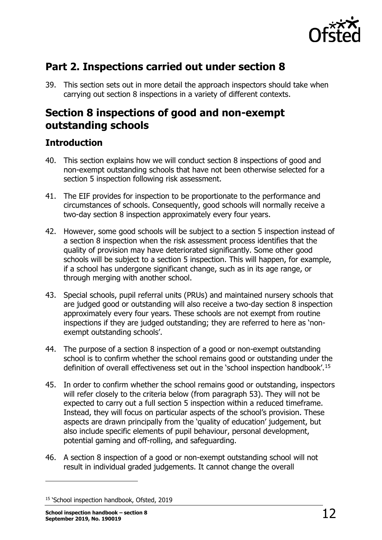

# <span id="page-11-0"></span>**Part 2. Inspections carried out under section 8**

39. This section sets out in more detail the approach inspectors should take when carrying out section 8 inspections in a variety of different contexts.

# <span id="page-11-1"></span>**Section 8 inspections of good and non-exempt outstanding schools**

# <span id="page-11-2"></span>**Introduction**

- 40. This section explains how we will conduct section 8 inspections of good and non-exempt outstanding schools that have not been otherwise selected for a section 5 inspection following risk assessment.
- 41. The EIF provides for inspection to be proportionate to the performance and circumstances of schools. Consequently, good schools will normally receive a two-day section 8 inspection approximately every four years.
- 42. However, some good schools will be subject to a section 5 inspection instead of a section 8 inspection when the risk assessment process identifies that the quality of provision may have deteriorated significantly. Some other good schools will be subject to a section 5 inspection. This will happen, for example, if a school has undergone significant change, such as in its age range, or through merging with another school.
- 43. Special schools, pupil referral units (PRUs) and maintained nursery schools that are judged good or outstanding will also receive a two-day section 8 inspection approximately every four years. These schools are not exempt from routine inspections if they are judged outstanding; they are referred to here as 'nonexempt outstanding schools'.
- 44. The purpose of a section 8 inspection of a good or non-exempt outstanding school is to confirm whether the school remains good or outstanding under the definition of overall effectiveness set out in the 'school inspection handbook'.[15](#page-11-3)
- 45. In order to confirm whether the school remains good or outstanding, inspectors will refer closely to the criteria below (from paragraph 53). They will not be expected to carry out a full section 5 inspection within a reduced timeframe. Instead, they will focus on particular aspects of the school's provision. These aspects are drawn principally from the 'quality of education' judgement, but also include specific elements of pupil behaviour, personal development, potential gaming and off-rolling, and safeguarding.
- 46. A section 8 inspection of a good or non-exempt outstanding school will not result in individual graded judgements. It cannot change the overall

<span id="page-11-3"></span><sup>&</sup>lt;sup>15</sup> 'School inspection handbook, Ofsted, 2019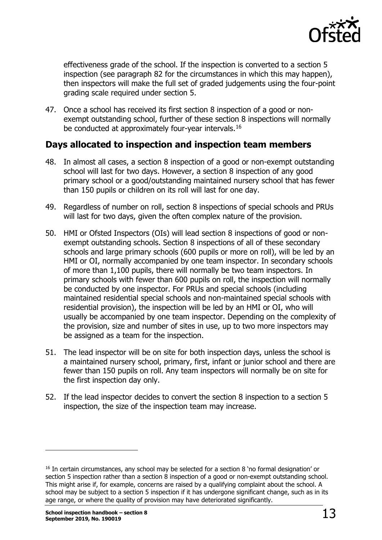

effectiveness grade of the school. If the inspection is converted to a section 5 inspection (see paragraph 82 for the circumstances in which this may happen), then inspectors will make the full set of graded judgements using the four-point grading scale required under section 5.

47. Once a school has received its first section 8 inspection of a good or nonexempt outstanding school, further of these section 8 inspections will normally be conducted at approximately four-year intervals.<sup>[16](#page-12-1)</sup>

### <span id="page-12-0"></span>**Days allocated to inspection and inspection team members**

- 48. In almost all cases, a section 8 inspection of a good or non-exempt outstanding school will last for two days. However, a section 8 inspection of any good primary school or a good/outstanding maintained nursery school that has fewer than 150 pupils or children on its roll will last for one day.
- 49. Regardless of number on roll, section 8 inspections of special schools and PRUs will last for two days, given the often complex nature of the provision.
- 50. HMI or Ofsted Inspectors (OIs) will lead section 8 inspections of good or nonexempt outstanding schools. Section 8 inspections of all of these secondary schools and large primary schools (600 pupils or more on roll), will be led by an HMI or OI, normally accompanied by one team inspector. In secondary schools of more than 1,100 pupils, there will normally be two team inspectors. In primary schools with fewer than 600 pupils on roll, the inspection will normally be conducted by one inspector. For PRUs and special schools (including maintained residential special schools and non-maintained special schools with residential provision), the inspection will be led by an HMI or OI, who will usually be accompanied by one team inspector. Depending on the complexity of the provision, size and number of sites in use, up to two more inspectors may be assigned as a team for the inspection.
- 51. The lead inspector will be on site for both inspection days, unless the school is a maintained nursery school, primary, first, infant or junior school and there are fewer than 150 pupils on roll. Any team inspectors will normally be on site for the first inspection day only.
- 52. If the lead inspector decides to convert the section 8 inspection to a section 5 inspection, the size of the inspection team may increase.

<span id="page-12-1"></span><sup>&</sup>lt;sup>16</sup> In certain circumstances, any school may be selected for a section 8 'no formal designation' or section 5 inspection rather than a section 8 inspection of a good or non-exempt outstanding school. This might arise if, for example, concerns are raised by a qualifying complaint about the school. A school may be subject to a section 5 inspection if it has undergone significant change, such as in its age range, or where the quality of provision may have deteriorated significantly.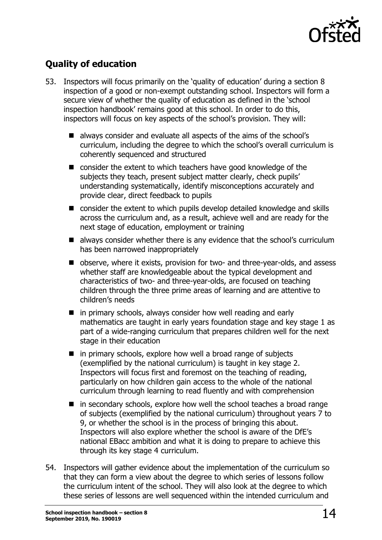

# <span id="page-13-0"></span>**Quality of education**

- 53. Inspectors will focus primarily on the 'quality of education' during a section 8 inspection of a good or non-exempt outstanding school. Inspectors will form a secure view of whether the quality of education as defined in the 'school inspection handbook' remains good at this school. In order to do this, inspectors will focus on key aspects of the school's provision. They will:
	- always consider and evaluate all aspects of the aims of the school's curriculum, including the degree to which the school's overall curriculum is coherently sequenced and structured
	- consider the extent to which teachers have good knowledge of the subjects they teach, present subject matter clearly, check pupils' understanding systematically, identify misconceptions accurately and provide clear, direct feedback to pupils
	- consider the extent to which pupils develop detailed knowledge and skills across the curriculum and, as a result, achieve well and are ready for the next stage of education, employment or training
	- always consider whether there is any evidence that the school's curriculum has been narrowed inappropriately
	- observe, where it exists, provision for two- and three-year-olds, and assess whether staff are knowledgeable about the typical development and characteristics of two- and three-year-olds, are focused on teaching children through the three prime areas of learning and are attentive to children's needs
	- **n** in primary schools, always consider how well reading and early mathematics are taught in early years foundation stage and key stage 1 as part of a wide-ranging curriculum that prepares children well for the next stage in their education
	- $\blacksquare$  in primary schools, explore how well a broad range of subjects (exemplified by the national curriculum) is taught in key stage 2. Inspectors will focus first and foremost on the teaching of reading, particularly on how children gain access to the whole of the national curriculum through learning to read fluently and with comprehension
	- $\blacksquare$  in secondary schools, explore how well the school teaches a broad range of subjects (exemplified by the national curriculum) throughout years 7 to 9, or whether the school is in the process of bringing this about. Inspectors will also explore whether the school is aware of the DfE's national EBacc ambition and what it is doing to prepare to achieve this through its key stage 4 curriculum.
- 54. Inspectors will gather evidence about the implementation of the curriculum so that they can form a view about the degree to which series of lessons follow the curriculum intent of the school. They will also look at the degree to which these series of lessons are well sequenced within the intended curriculum and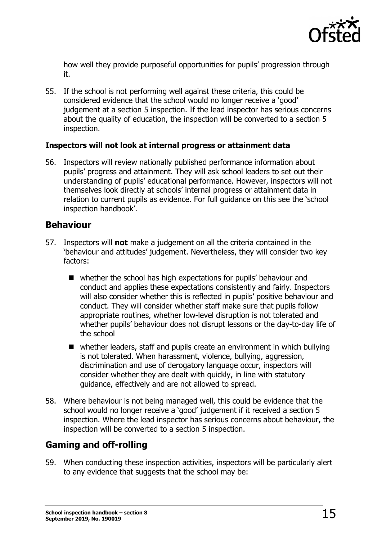

how well they provide purposeful opportunities for pupils' progression through it.

55. If the school is not performing well against these criteria, this could be considered evidence that the school would no longer receive a 'good' judgement at a section 5 inspection. If the lead inspector has serious concerns about the quality of education, the inspection will be converted to a section 5 inspection.

#### **Inspectors will not look at internal progress or attainment data**

56. Inspectors will review nationally published performance information about pupils' progress and attainment. They will ask school leaders to set out their understanding of pupils' educational performance. However, inspectors will not themselves look directly at schools' internal progress or attainment data in relation to current pupils as evidence. For full guidance on this see the 'school inspection handbook'.

#### <span id="page-14-0"></span>**Behaviour**

- 57. Inspectors will **not** make a judgement on all the criteria contained in the 'behaviour and attitudes' judgement. Nevertheless, they will consider two key factors:
	- whether the school has high expectations for pupils' behaviour and conduct and applies these expectations consistently and fairly. Inspectors will also consider whether this is reflected in pupils' positive behaviour and conduct. They will consider whether staff make sure that pupils follow appropriate routines, whether low-level disruption is not tolerated and whether pupils' behaviour does not disrupt lessons or the day-to-day life of the school
	- whether leaders, staff and pupils create an environment in which bullying is not tolerated. When harassment, violence, bullying, aggression, discrimination and use of derogatory language occur, inspectors will consider whether they are dealt with quickly, in line with statutory guidance, effectively and are not allowed to spread.
- 58. Where behaviour is not being managed well, this could be evidence that the school would no longer receive a 'good' judgement if it received a section 5 inspection. Where the lead inspector has serious concerns about behaviour, the inspection will be converted to a section 5 inspection.

# <span id="page-14-1"></span>**Gaming and off-rolling**

59. When conducting these inspection activities, inspectors will be particularly alert to any evidence that suggests that the school may be: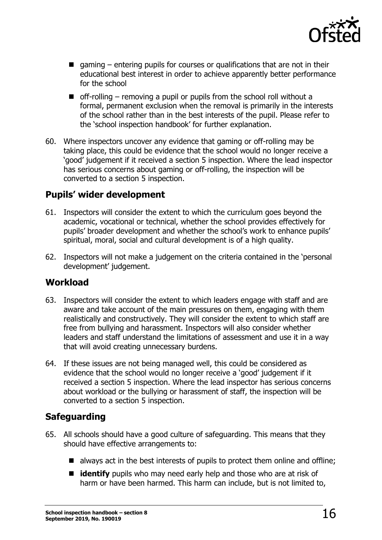

- gaming  $-$  entering pupils for courses or qualifications that are not in their educational best interest in order to achieve apparently better performance for the school
- $\blacksquare$  off-rolling removing a pupil or pupils from the school roll without a formal, permanent exclusion when the removal is primarily in the interests of the school rather than in the best interests of the pupil. Please refer to the 'school inspection handbook' for further explanation.
- 60. Where inspectors uncover any evidence that gaming or off-rolling may be taking place, this could be evidence that the school would no longer receive a 'good' judgement if it received a section 5 inspection. Where the lead inspector has serious concerns about gaming or off-rolling, the inspection will be converted to a section 5 inspection.

# <span id="page-15-0"></span>**Pupils' wider development**

- 61. Inspectors will consider the extent to which the curriculum goes beyond the academic, vocational or technical, whether the school provides effectively for pupils' broader development and whether the school's work to enhance pupils' spiritual, moral, social and cultural development is of a high quality.
- 62. Inspectors will not make a judgement on the criteria contained in the 'personal development' judgement.

### <span id="page-15-1"></span>**Workload**

- 63. Inspectors will consider the extent to which leaders engage with staff and are aware and take account of the main pressures on them, engaging with them realistically and constructively. They will consider the extent to which staff are free from bullying and harassment. Inspectors will also consider whether leaders and staff understand the limitations of assessment and use it in a way that will avoid creating unnecessary burdens.
- 64. If these issues are not being managed well, this could be considered as evidence that the school would no longer receive a 'good' judgement if it received a section 5 inspection. Where the lead inspector has serious concerns about workload or the bullying or harassment of staff, the inspection will be converted to a section 5 inspection.

# <span id="page-15-2"></span>**Safeguarding**

- 65. All schools should have a good culture of safeguarding. This means that they should have effective arrangements to:
	- $\blacksquare$  always act in the best interests of pupils to protect them online and offline;
	- **didentify** pupils who may need early help and those who are at risk of harm or have been harmed. This harm can include, but is not limited to,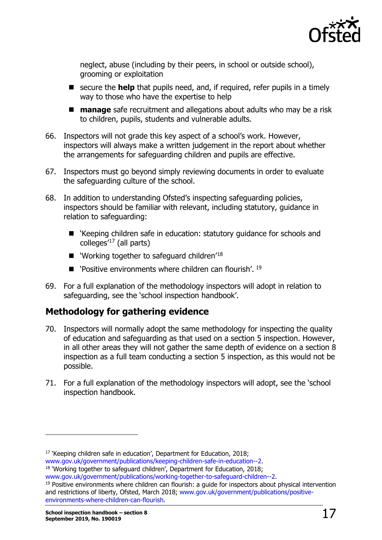

neglect, abuse (including by their peers, in school or outside school), grooming or exploitation

- secure the **help** that pupils need, and, if required, refer pupils in a timely way to those who have the expertise to help
- **manage** safe recruitment and allegations about adults who may be a risk to children, pupils, students and vulnerable adults.
- 66. Inspectors will not grade this key aspect of a school's work. However, inspectors will always make a written judgement in the report about whether the arrangements for safeguarding children and pupils are effective.
- 67. Inspectors must go beyond simply reviewing documents in order to evaluate the safeguarding culture of the school.
- 68. In addition to understanding Ofsted's inspecting safeguarding policies, inspectors should be familiar with relevant, including statutory, guidance in relation to safeguarding:
	- 'Keeping children safe in education: statutory guidance for schools and colleges'[17](#page-16-1) (all parts)
	- $\blacksquare$  'Working together to safeguard children'<sup>18</sup>
	- $\blacksquare$  'Positive environments where children can flourish'. <sup>[19](#page-16-3)</sup>
- 69. For a full explanation of the methodology inspectors will adopt in relation to safeguarding, see the 'school inspection handbook'.

# <span id="page-16-0"></span>**Methodology for gathering evidence**

- 70. Inspectors will normally adopt the same methodology for inspecting the quality of education and safeguarding as that used on a section 5 inspection. However, in all other areas they will not gather the same depth of evidence on a section 8 inspection as a full team conducting a section 5 inspection, as this would not be possible.
- 71. For a full explanation of the methodology inspectors will adopt, see the 'school inspection handbook.

<span id="page-16-3"></span> $19$  Positive environments where children can flourish: a guide for inspectors about physical intervention and restrictions of liberty, Ofsted, March 2018; [www.gov.uk/government/publications/positive](http://www.gov.uk/government/publications/positive-environments-where-children-can-flourish)[environments-where-children-can-flourish.](http://www.gov.uk/government/publications/positive-environments-where-children-can-flourish)

<span id="page-16-1"></span><sup>&</sup>lt;sup>17</sup> 'Keeping children safe in education', Department for Education, 2018;<br>www.gov.uk/government/publications/keeping-children-safe-in-education--2.

<span id="page-16-2"></span><sup>&</sup>lt;sup>18</sup> 'Working together to safeguard children', Department for Education, 2018;<br>www.gov.uk/government/publications/working-together-to-safeguard-children--2.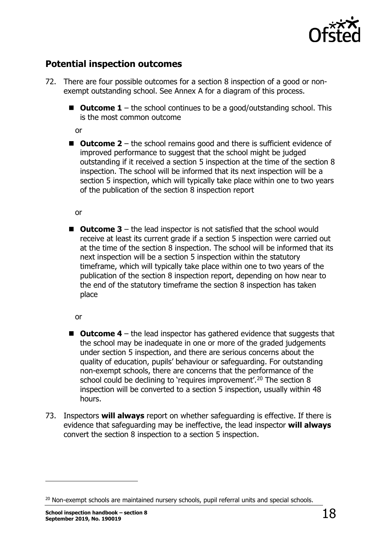

# <span id="page-17-0"></span>**Potential inspection outcomes**

- 72. There are four possible outcomes for a section 8 inspection of a good or nonexempt outstanding school. See Annex A for a diagram of this process.
	- **Outcome 1** the school continues to be a good/outstanding school. This is the most common outcome

or

■ Outcome 2 – the school remains good and there is sufficient evidence of improved performance to suggest that the school might be judged outstanding if it received a section 5 inspection at the time of the section 8 inspection. The school will be informed that its next inspection will be a section 5 inspection, which will typically take place within one to two years of the publication of the section 8 inspection report

or

■ Outcome 3 – the lead inspector is not satisfied that the school would receive at least its current grade if a section 5 inspection were carried out at the time of the section 8 inspection. The school will be informed that its next inspection will be a section 5 inspection within the statutory timeframe, which will typically take place within one to two years of the publication of the section 8 inspection report, depending on how near to the end of the statutory timeframe the section 8 inspection has taken place

or

- Outcome 4 the lead inspector has gathered evidence that suggests that the school may be inadequate in one or more of the graded judgements under section 5 inspection, and there are serious concerns about the quality of education, pupils' behaviour or safeguarding. For outstanding non-exempt schools, there are concerns that the performance of the school could be declining to 'requires improvement'.<sup>[20](#page-17-1)</sup> The section  $8$ inspection will be converted to a section 5 inspection, usually within 48 hours.
- 73. Inspectors **will always** report on whether safeguarding is effective. If there is evidence that safeguarding may be ineffective, the lead inspector **will always** convert the section 8 inspection to a section 5 inspection.

<span id="page-17-1"></span><sup>&</sup>lt;sup>20</sup> Non-exempt schools are maintained nursery schools, pupil referral units and special schools.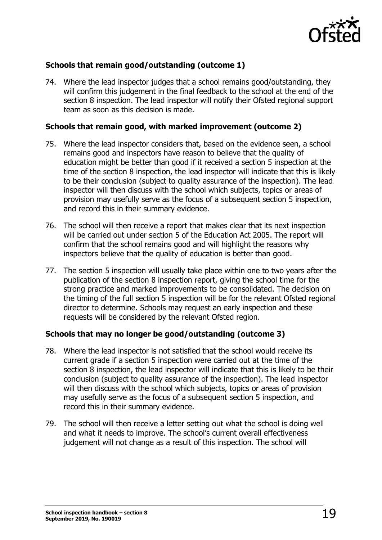

#### **Schools that remain good/outstanding (outcome 1)**

74. Where the lead inspector judges that a school remains good/outstanding, they will confirm this judgement in the final feedback to the school at the end of the section 8 inspection. The lead inspector will notify their Ofsted regional support team as soon as this decision is made.

#### **Schools that remain good, with marked improvement (outcome 2)**

- 75. Where the lead inspector considers that, based on the evidence seen, a school remains good and inspectors have reason to believe that the quality of education might be better than good if it received a section 5 inspection at the time of the section 8 inspection, the lead inspector will indicate that this is likely to be their conclusion (subject to quality assurance of the inspection). The lead inspector will then discuss with the school which subjects, topics or areas of provision may usefully serve as the focus of a subsequent section 5 inspection, and record this in their summary evidence.
- 76. The school will then receive a report that makes clear that its next inspection will be carried out under section 5 of the Education Act 2005. The report will confirm that the school remains good and will highlight the reasons why inspectors believe that the quality of education is better than good.
- 77. The section 5 inspection will usually take place within one to two years after the publication of the section 8 inspection report, giving the school time for the strong practice and marked improvements to be consolidated. The decision on the timing of the full section 5 inspection will be for the relevant Ofsted regional director to determine. Schools may request an early inspection and these requests will be considered by the relevant Ofsted region.

#### **Schools that may no longer be good/outstanding (outcome 3)**

- 78. Where the lead inspector is not satisfied that the school would receive its current grade if a section 5 inspection were carried out at the time of the section 8 inspection, the lead inspector will indicate that this is likely to be their conclusion (subject to quality assurance of the inspection). The lead inspector will then discuss with the school which subjects, topics or areas of provision may usefully serve as the focus of a subsequent section 5 inspection, and record this in their summary evidence.
- 79. The school will then receive a letter setting out what the school is doing well and what it needs to improve. The school's current overall effectiveness judgement will not change as a result of this inspection. The school will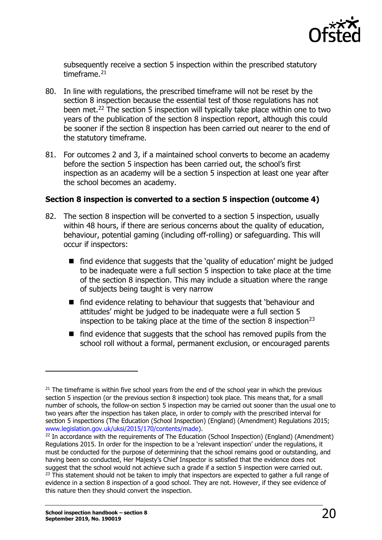

subsequently receive a section 5 inspection within the prescribed statutory timeframe.<sup>[21](#page-19-0)</sup>

- 80. In line with regulations, the prescribed timeframe will not be reset by the section 8 inspection because the essential test of those regulations has not been met.<sup>22</sup> The section 5 inspection will typically take place within one to two years of the publication of the section 8 inspection report, although this could be sooner if the section 8 inspection has been carried out nearer to the end of the statutory timeframe.
- 81. For outcomes 2 and 3, if a maintained school converts to become an academy before the section 5 inspection has been carried out, the school's first inspection as an academy will be a section 5 inspection at least one year after the school becomes an academy.

#### **Section 8 inspection is converted to a section 5 inspection (outcome 4)**

- 82. The section 8 inspection will be converted to a section 5 inspection, usually within 48 hours, if there are serious concerns about the quality of education, behaviour, potential gaming (including off-rolling) or safeguarding. This will occur if inspectors:
	- find evidence that suggests that the 'quality of education' might be judged to be inadequate were a full section 5 inspection to take place at the time of the section 8 inspection. This may include a situation where the range of subjects being taught is very narrow
	- find evidence relating to behaviour that suggests that 'behaviour and attitudes' might be judged to be inadequate were a full section 5 inspection to be taking place at the time of the section 8 inspection<sup>[23](#page-19-2)</sup>
	- $\blacksquare$  find evidence that suggests that the school has removed pupils from the school roll without a formal, permanent exclusion, or encouraged parents

<span id="page-19-0"></span> $21$  The timeframe is within five school years from the end of the school year in which the previous section 5 inspection (or the previous section 8 inspection) took place. This means that, for a small number of schools, the follow-on section 5 inspection may be carried out sooner than the usual one to two years after the inspection has taken place, in order to comply with the prescribed interval for section 5 inspections (The Education (School Inspection) (England) (Amendment) Regulations 2015; [www.legislation.gov.uk/uksi/2015/170/contents/made\)](http://www.legislation.gov.uk/uksi/2015/170/contents/made).

<span id="page-19-2"></span><span id="page-19-1"></span><sup>&</sup>lt;sup>22</sup> In accordance with the requirements of The Education (School Inspection) (England) (Amendment) Regulations 2015. In order for the inspection to be a 'relevant inspection' under the regulations, it must be conducted for the purpose of determining that the school remains good or outstanding, and having been so conducted, Her Majesty's Chief Inspector is satisfied that the evidence does not suggest that the school would not achieve such a grade if a section 5 inspection were carried out. <sup>23</sup> This statement should not be taken to imply that inspectors are expected to gather a full range of evidence in a section 8 inspection of a good school. They are not. However, if they see evidence of this nature then they should convert the inspection.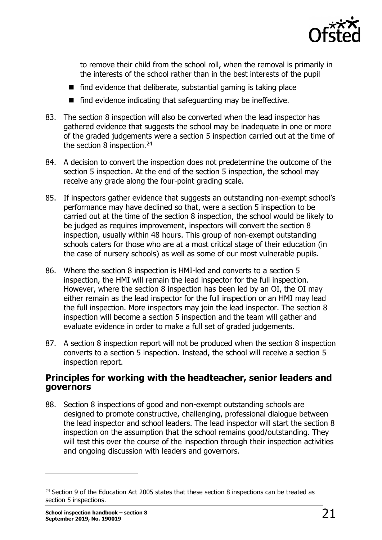

to remove their child from the school roll, when the removal is primarily in the interests of the school rather than in the best interests of the pupil

- $\blacksquare$  find evidence that deliberate, substantial gaming is taking place
- $\blacksquare$  find evidence indicating that safeguarding may be ineffective.
- 83. The section 8 inspection will also be converted when the lead inspector has gathered evidence that suggests the school may be inadequate in one or more of the graded judgements were a section 5 inspection carried out at the time of the section 8 inspection.<sup>[24](#page-20-1)</sup>
- 84. A decision to convert the inspection does not predetermine the outcome of the section 5 inspection. At the end of the section 5 inspection, the school may receive any grade along the four-point grading scale.
- 85. If inspectors gather evidence that suggests an outstanding non-exempt school's performance may have declined so that, were a section 5 inspection to be carried out at the time of the section 8 inspection, the school would be likely to be judged as requires improvement, inspectors will convert the section 8 inspection, usually within 48 hours. This group of non-exempt outstanding schools caters for those who are at a most critical stage of their education (in the case of nursery schools) as well as some of our most vulnerable pupils.
- 86. Where the section 8 inspection is HMI-led and converts to a section 5 inspection, the HMI will remain the lead inspector for the full inspection. However, where the section 8 inspection has been led by an OI, the OI may either remain as the lead inspector for the full inspection or an HMI may lead the full inspection. More inspectors may join the lead inspector. The section 8 inspection will become a section 5 inspection and the team will gather and evaluate evidence in order to make a full set of graded judgements.
- 87. A section 8 inspection report will not be produced when the section 8 inspection converts to a section 5 inspection. Instead, the school will receive a section 5 inspection report.

#### <span id="page-20-0"></span>**Principles for working with the headteacher, senior leaders and governors**

88. Section 8 inspections of good and non-exempt outstanding schools are designed to promote constructive, challenging, professional dialogue between the lead inspector and school leaders. The lead inspector will start the section 8 inspection on the assumption that the school remains good/outstanding. They will test this over the course of the inspection through their inspection activities and ongoing discussion with leaders and governors.

<span id="page-20-1"></span> $24$  Section 9 of the Education Act 2005 states that these section 8 inspections can be treated as section 5 inspections.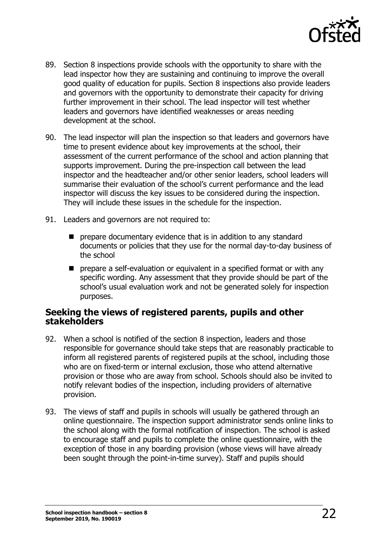

- 89. Section 8 inspections provide schools with the opportunity to share with the lead inspector how they are sustaining and continuing to improve the overall good quality of education for pupils. Section 8 inspections also provide leaders and governors with the opportunity to demonstrate their capacity for driving further improvement in their school. The lead inspector will test whether leaders and governors have identified weaknesses or areas needing development at the school.
- 90. The lead inspector will plan the inspection so that leaders and governors have time to present evidence about key improvements at the school, their assessment of the current performance of the school and action planning that supports improvement. During the pre-inspection call between the lead inspector and the headteacher and/or other senior leaders, school leaders will summarise their evaluation of the school's current performance and the lead inspector will discuss the key issues to be considered during the inspection. They will include these issues in the schedule for the inspection.
- 91. Leaders and governors are not required to:
	- **P** prepare documentary evidence that is in addition to any standard documents or policies that they use for the normal day-to-day business of the school
	- **P** prepare a self-evaluation or equivalent in a specified format or with any specific wording. Any assessment that they provide should be part of the school's usual evaluation work and not be generated solely for inspection purposes.

#### <span id="page-21-0"></span>**Seeking the views of registered parents, pupils and other stakeholders**

- 92. When a school is notified of the section 8 inspection, leaders and those responsible for governance should take steps that are reasonably practicable to inform all registered parents of registered pupils at the school, including those who are on fixed-term or internal exclusion, those who attend alternative provision or those who are away from school. Schools should also be invited to notify relevant bodies of the inspection, including providers of alternative provision.
- 93. The views of staff and pupils in schools will usually be gathered through an online questionnaire. The inspection support administrator sends online links to the school along with the formal notification of inspection. The school is asked to encourage staff and pupils to complete the online questionnaire, with the exception of those in any boarding provision (whose views will have already been sought through the point-in-time survey). Staff and pupils should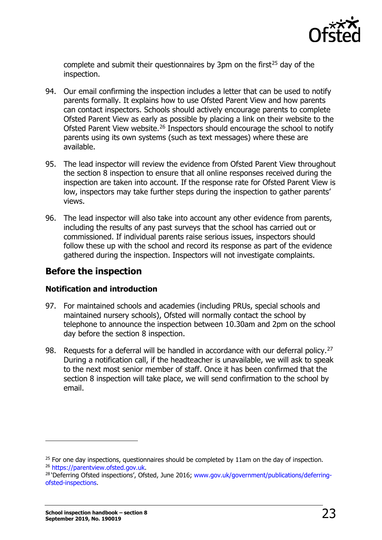

complete and submit their questionnaires by 3pm on the first<sup>[25](#page-22-1)</sup> day of the inspection.

- 94. Our email confirming the inspection includes a letter that can be used to notify parents formally. It explains how to use Ofsted Parent View and how parents can contact inspectors. Schools should actively encourage parents to complete Ofsted Parent View as early as possible by placing a link on their website to the Ofsted Parent View website.[26](#page-22-2) Inspectors should encourage the school to notify parents using its own systems (such as text messages) where these are available.
- 95. The lead inspector will review the evidence from Ofsted Parent View throughout the section 8 inspection to ensure that all online responses received during the inspection are taken into account. If the response rate for Ofsted Parent View is low, inspectors may take further steps during the inspection to gather parents' views.
- 96. The lead inspector will also take into account any other evidence from parents, including the results of any past surveys that the school has carried out or commissioned. If individual parents raise serious issues, inspectors should follow these up with the school and record its response as part of the evidence gathered during the inspection. Inspectors will not investigate complaints.

### <span id="page-22-0"></span>**Before the inspection**

#### **Notification and introduction**

- 97. For maintained schools and academies (including PRUs, special schools and maintained nursery schools), Ofsted will normally contact the school by telephone to announce the inspection between 10.30am and 2pm on the school day before the section 8 inspection.
- 98. Requests for a deferral will be handled in accordance with our deferral policy.<sup>[27](#page-22-3)</sup> During a notification call, if the headteacher is unavailable, we will ask to speak to the next most senior member of staff. Once it has been confirmed that the section 8 inspection will take place, we will send confirmation to the school by email.

<span id="page-22-1"></span><sup>&</sup>lt;sup>25</sup> For one day inspections, questionnaires should be completed by 11am on the day of inspection.<br><sup>26</sup> https://parentyjew.ofsted.gov.uk.

<span id="page-22-3"></span><span id="page-22-2"></span><sup>&</sup>lt;sup>28</sup> 'Deferring Ofsted inspections', Ofsted, June 2016; [www.gov.uk/government/publications/deferring](http://www.gov.uk/government/publications/deferring-ofsted-inspections)[ofsted-inspections.](http://www.gov.uk/government/publications/deferring-ofsted-inspections)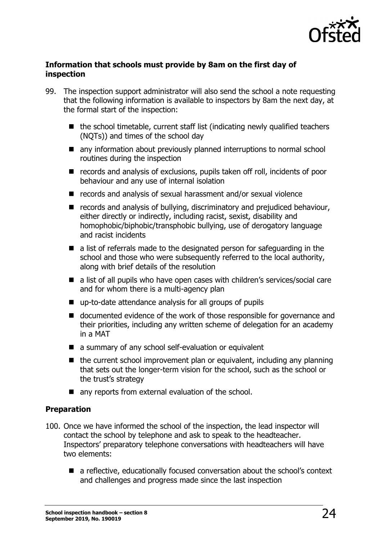

#### **Information that schools must provide by 8am on the first day of inspection**

- 99. The inspection support administrator will also send the school a note requesting that the following information is available to inspectors by 8am the next day, at the formal start of the inspection:
	- $\blacksquare$  the school timetable, current staff list (indicating newly qualified teachers (NQTs)) and times of the school day
	- any information about previously planned interruptions to normal school routines during the inspection
	- records and analysis of exclusions, pupils taken off roll, incidents of poor behaviour and any use of internal isolation
	- records and analysis of sexual harassment and/or sexual violence
	- records and analysis of bullying, discriminatory and prejudiced behaviour, either directly or indirectly, including racist, sexist, disability and homophobic/biphobic/transphobic bullying, use of derogatory language and racist incidents
	- a list of referrals made to the designated person for safeguarding in the school and those who were subsequently referred to the local authority, along with brief details of the resolution
	- a list of all pupils who have open cases with children's services/social care and for whom there is a multi-agency plan
	- up-to-date attendance analysis for all groups of pupils
	- documented evidence of the work of those responsible for governance and their priorities, including any written scheme of delegation for an academy in a MAT
	- a summary of any school self-evaluation or equivalent
	- $\blacksquare$  the current school improvement plan or equivalent, including any planning that sets out the longer-term vision for the school, such as the school or the trust's strategy
	- any reports from external evaluation of the school.

#### **Preparation**

- 100. Once we have informed the school of the inspection, the lead inspector will contact the school by telephone and ask to speak to the headteacher. Inspectors' preparatory telephone conversations with headteachers will have two elements:
	- a reflective, educationally focused conversation about the school's context and challenges and progress made since the last inspection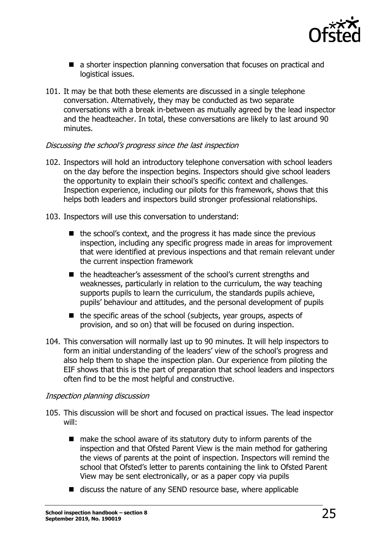

- a shorter inspection planning conversation that focuses on practical and logistical issues.
- 101. It may be that both these elements are discussed in a single telephone conversation. Alternatively, they may be conducted as two separate conversations with a break in-between as mutually agreed by the lead inspector and the headteacher. In total, these conversations are likely to last around 90 minutes.

#### Discussing the school's progress since the last inspection

- 102. Inspectors will hold an introductory telephone conversation with school leaders on the day before the inspection begins. Inspectors should give school leaders the opportunity to explain their school's specific context and challenges. Inspection experience, including our pilots for this framework, shows that this helps both leaders and inspectors build stronger professional relationships.
- 103. Inspectors will use this conversation to understand:
	- $\blacksquare$  the school's context, and the progress it has made since the previous inspection, including any specific progress made in areas for improvement that were identified at previous inspections and that remain relevant under the current inspection framework
	- the headteacher's assessment of the school's current strengths and weaknesses, particularly in relation to the curriculum, the way teaching supports pupils to learn the curriculum, the standards pupils achieve, pupils' behaviour and attitudes, and the personal development of pupils
	- $\blacksquare$  the specific areas of the school (subjects, year groups, aspects of provision, and so on) that will be focused on during inspection.
- 104. This conversation will normally last up to 90 minutes. It will help inspectors to form an initial understanding of the leaders' view of the school's progress and also help them to shape the inspection plan. Our experience from piloting the EIF shows that this is the part of preparation that school leaders and inspectors often find to be the most helpful and constructive.

#### Inspection planning discussion

- 105. This discussion will be short and focused on practical issues. The lead inspector will:
	- $\blacksquare$  make the school aware of its statutory duty to inform parents of the inspection and that Ofsted Parent View is the main method for gathering the views of parents at the point of inspection. Inspectors will remind the school that Ofsted's letter to parents containing the link to Ofsted Parent View may be sent electronically, or as a paper copy via pupils
	- discuss the nature of any SEND resource base, where applicable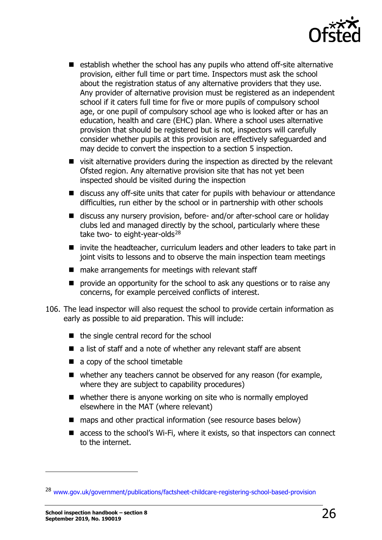

- establish whether the school has any pupils who attend off-site alternative provision, either full time or part time. Inspectors must ask the school about the registration status of any alternative providers that they use. Any provider of alternative provision must be registered as an independent school if it caters full time for five or more pupils of compulsory school age, or one pupil of compulsory school age who is looked after or has an education, health and care (EHC) plan. Where a school uses alternative provision that should be registered but is not, inspectors will carefully consider whether pupils at this provision are effectively safeguarded and may decide to convert the inspection to a section 5 inspection.
- visit alternative providers during the inspection as directed by the relevant Ofsted region. Any alternative provision site that has not yet been inspected should be visited during the inspection
- discuss any off-site units that cater for pupils with behaviour or attendance difficulties, run either by the school or in partnership with other schools
- discuss any nursery provision, before- and/or after-school care or holiday clubs led and managed directly by the school, particularly where these take two- to eight-year-olds $^{28}$  $^{28}$  $^{28}$
- invite the headteacher, curriculum leaders and other leaders to take part in joint visits to lessons and to observe the main inspection team meetings
- $\blacksquare$  make arrangements for meetings with relevant staff
- **P** provide an opportunity for the school to ask any questions or to raise any concerns, for example perceived conflicts of interest.
- 106. The lead inspector will also request the school to provide certain information as early as possible to aid preparation. This will include:
	- $\blacksquare$  the single central record for the school
	- a list of staff and a note of whether any relevant staff are absent
	- a copy of the school timetable
	- whether any teachers cannot be observed for any reason (for example, where they are subject to capability procedures)
	- whether there is anyone working on site who is normally employed elsewhere in the MAT (where relevant)
	- maps and other practical information (see resource bases below)
	- access to the school's Wi-Fi, where it exists, so that inspectors can connect to the internet.

<span id="page-25-0"></span><sup>28</sup> [www.gov.uk/government/publications/factsheet-childcare-registering-school-based-provision](http://www.gov.uk/government/publications/factsheet-childcare-registering-school-based-provision)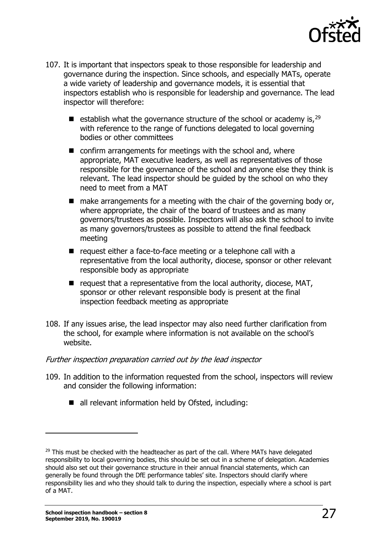

- 107. It is important that inspectors speak to those responsible for leadership and governance during the inspection. Since schools, and especially MATs, operate a wide variety of leadership and governance models, it is essential that inspectors establish who is responsible for leadership and governance. The lead inspector will therefore:
	- **E** establish what the governance structure of the school or academy is,  $29$ with reference to the range of functions delegated to local governing bodies or other committees
	- $\blacksquare$  confirm arrangements for meetings with the school and, where appropriate, MAT executive leaders, as well as representatives of those responsible for the governance of the school and anyone else they think is relevant. The lead inspector should be guided by the school on who they need to meet from a MAT
	- $\blacksquare$  make arrangements for a meeting with the chair of the governing body or, where appropriate, the chair of the board of trustees and as many governors/trustees as possible. Inspectors will also ask the school to invite as many governors/trustees as possible to attend the final feedback meeting
	- $\blacksquare$  request either a face-to-face meeting or a telephone call with a representative from the local authority, diocese, sponsor or other relevant responsible body as appropriate
	- $\blacksquare$  request that a representative from the local authority, diocese, MAT, sponsor or other relevant responsible body is present at the final inspection feedback meeting as appropriate
- 108. If any issues arise, the lead inspector may also need further clarification from the school, for example where information is not available on the school's website.

#### Further inspection preparation carried out by the lead inspector

- 109. In addition to the information requested from the school, inspectors will review and consider the following information:
	- all relevant information held by Ofsted, including:

<span id="page-26-0"></span> $29$  This must be checked with the headteacher as part of the call. Where MATs have delegated responsibility to local governing bodies, this should be set out in a scheme of delegation. Academies should also set out their governance structure in their annual financial statements, which can generally be found through the DfE performance tables' site. Inspectors should clarify where responsibility lies and who they should talk to during the inspection, especially where a school is part of a MAT.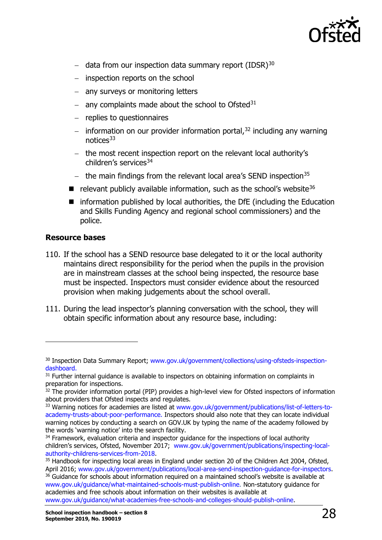

- − data from our inspection data summary report (IDSR)<sup>[30](#page-27-0)</sup>
- − inspection reports on the school
- − any surveys or monitoring letters
- − any complaints made about the school to Ofsted[31](#page-27-1)
- − replies to questionnaires
- − information on our provider information portal,<sup>[32](#page-27-2)</sup> including any warning notices[33](#page-27-3)
- − the most recent inspection report on the relevant local authority's children's services<sup>[34](#page-27-4)</sup>
- − the main findings from the relevant local area's SEND inspection<sup>[35](#page-27-5)</sup>
- $\blacksquare$  relevant publicly available information, such as the school's website<sup>[36](#page-27-6)</sup>
- **I** information published by local authorities, the DfE (including the Education and Skills Funding Agency and regional school commissioners) and the police.

#### **Resource bases**

- 110. If the school has a SEND resource base delegated to it or the local authority maintains direct responsibility for the period when the pupils in the provision are in mainstream classes at the school being inspected, the resource base must be inspected. Inspectors must consider evidence about the resourced provision when making judgements about the school overall.
- 111. During the lead inspector's planning conversation with the school, they will obtain specific information about any resource base, including:

<span id="page-27-0"></span><sup>&</sup>lt;sup>30</sup> Inspection Data Summary Report; www.gov.uk/government/collections/using-ofsteds-inspection-<br>dashboard.

<span id="page-27-1"></span><sup>&</sup>lt;sup>31</sup> Further internal guidance is available to inspectors on obtaining information on complaints in preparation for inspections.

<span id="page-27-2"></span> $32$  The provider information portal (PIP) provides a high-level view for Ofsted inspectors of information about providers that Ofsted inspects and regulates.

<span id="page-27-3"></span><sup>&</sup>lt;sup>33</sup> Warning notices for academies are listed at [www.gov.uk/government/publications/list-of-letters-to](http://www.gov.uk/government/publications/list-of-letters-to-academy-trusts-about-poor-performance)[academy-trusts-about-poor-performance.](http://www.gov.uk/government/publications/list-of-letters-to-academy-trusts-about-poor-performance) Inspectors should also note that they can locate individual warning notices by conducting a search on GOV.UK by typing the name of the academy followed by the words 'warning notice' into the search facility.<br><sup>34</sup> Framework, evaluation criteria and inspector guidance for the inspections of local authority

<span id="page-27-4"></span>children's services, Ofsted, November 2017; www.gov.uk/government/publications/inspecting-local-<br>authority-childrens-services-from-2018.

<span id="page-27-6"></span><span id="page-27-5"></span><sup>&</sup>lt;sup>35</sup> Handbook for inspecting local areas in England under section 20 of the Children Act 2004, Ofsted,<br>April 2016; www.gov.uk/government/publications/local-area-send-inspection-guidance-for-inspectors. <sup>36</sup> Guidance for schools about information required on a maintained school's website is available at [www.gov.uk/guidance/what-maintained-schools-must-publish-online.](http://www.gov.uk/guidance/what-maintained-schools-must-publish-online) Non-statutory guidance for academies and free schools about information on their websites is available at [www.gov.uk/guidance/what-academies-free-schools-and-colleges-should-publish-online.](http://www.gov.uk/guidance/what-academies-free-schools-and-colleges-should-publish-online)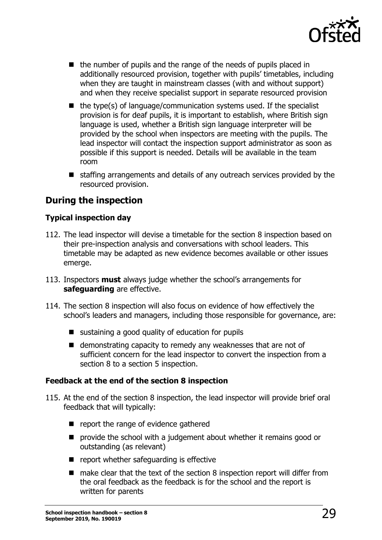

- the number of pupils and the range of the needs of pupils placed in additionally resourced provision, together with pupils' timetables, including when they are taught in mainstream classes (with and without support) and when they receive specialist support in separate resourced provision
- $\blacksquare$  the type(s) of language/communication systems used. If the specialist provision is for deaf pupils, it is important to establish, where British sign language is used, whether a British sign language interpreter will be provided by the school when inspectors are meeting with the pupils. The lead inspector will contact the inspection support administrator as soon as possible if this support is needed. Details will be available in the team room
- staffing arrangements and details of any outreach services provided by the resourced provision.

# <span id="page-28-0"></span>**During the inspection**

#### **Typical inspection day**

- 112. The lead inspector will devise a timetable for the section 8 inspection based on their pre-inspection analysis and conversations with school leaders. This timetable may be adapted as new evidence becomes available or other issues emerge.
- 113. Inspectors **must** always judge whether the school's arrangements for **safeguarding** are effective.
- 114. The section 8 inspection will also focus on evidence of how effectively the school's leaders and managers, including those responsible for governance, are:
	- $\blacksquare$  sustaining a good quality of education for pupils
	- demonstrating capacity to remedy any weaknesses that are not of sufficient concern for the lead inspector to convert the inspection from a section 8 to a section 5 inspection.

#### **Feedback at the end of the section 8 inspection**

- 115. At the end of the section 8 inspection, the lead inspector will provide brief oral feedback that will typically:
	- report the range of evidence gathered
	- **P** provide the school with a judgement about whether it remains good or outstanding (as relevant)
	- $\blacksquare$  report whether safeguarding is effective
	- $\blacksquare$  make clear that the text of the section 8 inspection report will differ from the oral feedback as the feedback is for the school and the report is written for parents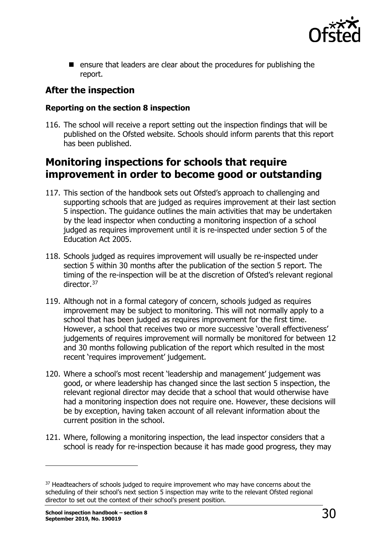

**E** ensure that leaders are clear about the procedures for publishing the report.

# <span id="page-29-0"></span>**After the inspection**

#### **Reporting on the section 8 inspection**

116. The school will receive a report setting out the inspection findings that will be published on the Ofsted website. Schools should inform parents that this report has been published.

# <span id="page-29-1"></span>**Monitoring inspections for schools that require improvement in order to become good or outstanding**

- 117. This section of the handbook sets out Ofsted's approach to challenging and supporting schools that are judged as requires improvement at their last section 5 inspection. The guidance outlines the main activities that may be undertaken by the lead inspector when conducting a monitoring inspection of a school judged as requires improvement until it is re-inspected under section 5 of the Education Act 2005.
- 118. Schools judged as requires improvement will usually be re-inspected under section 5 within 30 months after the publication of the section 5 report. The timing of the re-inspection will be at the discretion of Ofsted's relevant regional director.<sup>[37](#page-29-2)</sup>
- 119. Although not in a formal category of concern, schools judged as requires improvement may be subject to monitoring. This will not normally apply to a school that has been judged as requires improvement for the first time. However, a school that receives two or more successive 'overall effectiveness' judgements of requires improvement will normally be monitored for between 12 and 30 months following publication of the report which resulted in the most recent 'requires improvement' judgement.
- 120. Where a school's most recent 'leadership and management' judgement was good, or where leadership has changed since the last section 5 inspection, the relevant regional director may decide that a school that would otherwise have had a monitoring inspection does not require one. However, these decisions will be by exception, having taken account of all relevant information about the current position in the school.
- 121. Where, following a monitoring inspection, the lead inspector considers that a school is ready for re-inspection because it has made good progress, they may

<span id="page-29-2"></span><sup>&</sup>lt;sup>37</sup> Headteachers of schools judged to require improvement who may have concerns about the scheduling of their school's next section 5 inspection may write to the relevant Ofsted regional director to set out the context of their school's present position.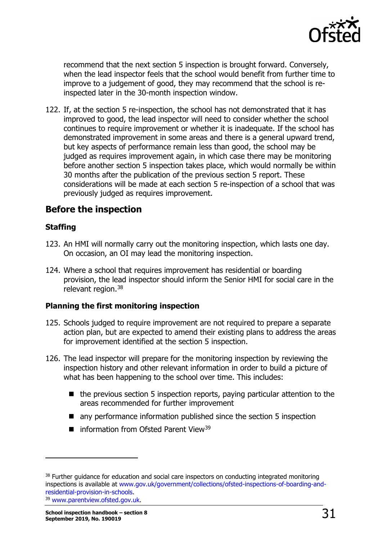

recommend that the next section 5 inspection is brought forward. Conversely, when the lead inspector feels that the school would benefit from further time to improve to a judgement of good, they may recommend that the school is reinspected later in the 30-month inspection window.

122. If, at the section 5 re-inspection, the school has not demonstrated that it has improved to good, the lead inspector will need to consider whether the school continues to require improvement or whether it is inadequate. If the school has demonstrated improvement in some areas and there is a general upward trend, but key aspects of performance remain less than good, the school may be judged as requires improvement again, in which case there may be monitoring before another section 5 inspection takes place, which would normally be within 30 months after the publication of the previous section 5 report. These considerations will be made at each section 5 re-inspection of a school that was previously judged as requires improvement.

### <span id="page-30-0"></span>**Before the inspection**

#### **Staffing**

- 123. An HMI will normally carry out the monitoring inspection, which lasts one day. On occasion, an OI may lead the monitoring inspection.
- 124. Where a school that requires improvement has residential or boarding provision, the lead inspector should inform the Senior HMI for social care in the relevant region.[38](#page-30-1)

#### **Planning the first monitoring inspection**

- 125. Schools judged to require improvement are not required to prepare a separate action plan, but are expected to amend their existing plans to address the areas for improvement identified at the section 5 inspection.
- 126. The lead inspector will prepare for the monitoring inspection by reviewing the inspection history and other relevant information in order to build a picture of what has been happening to the school over time. This includes:
	- the previous section 5 inspection reports, paying particular attention to the areas recommended for further improvement
	- any performance information published since the section 5 inspection
	- $\blacksquare$  information from Ofsted Parent View<sup>39</sup>

<span id="page-30-1"></span><sup>&</sup>lt;sup>38</sup> Further guidance for education and social care inspectors on conducting integrated monitoring inspections is available at www.gov.uk/government/collections/ofsted-inspections-of-boarding-and-<br>residential-provision-in-schools. <sup>39</sup> [www.parentview.ofsted.gov.uk.](http://www.parentview.ofsted.gov.uk/)

<span id="page-30-2"></span>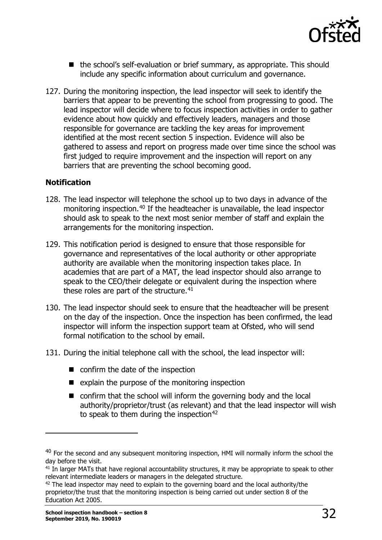

- the school's self-evaluation or brief summary, as appropriate. This should include any specific information about curriculum and governance.
- 127. During the monitoring inspection, the lead inspector will seek to identify the barriers that appear to be preventing the school from progressing to good. The lead inspector will decide where to focus inspection activities in order to gather evidence about how quickly and effectively leaders, managers and those responsible for governance are tackling the key areas for improvement identified at the most recent section 5 inspection. Evidence will also be gathered to assess and report on progress made over time since the school was first judged to require improvement and the inspection will report on any barriers that are preventing the school becoming good.

#### **Notification**

- 128. The lead inspector will telephone the school up to two days in advance of the monitoring inspection.<sup>[40](#page-31-0)</sup> If the headteacher is unavailable, the lead inspector should ask to speak to the next most senior member of staff and explain the arrangements for the monitoring inspection.
- 129. This notification period is designed to ensure that those responsible for governance and representatives of the local authority or other appropriate authority are available when the monitoring inspection takes place. In academies that are part of a MAT, the lead inspector should also arrange to speak to the CEO/their delegate or equivalent during the inspection where these roles are part of the structure. $41$
- 130. The lead inspector should seek to ensure that the headteacher will be present on the day of the inspection. Once the inspection has been confirmed, the lead inspector will inform the inspection support team at Ofsted, who will send formal notification to the school by email.
- 131. During the initial telephone call with the school, the lead inspector will:
	- confirm the date of the inspection
	- $\blacksquare$  explain the purpose of the monitoring inspection
	- confirm that the school will inform the governing body and the local authority/proprietor/trust (as relevant) and that the lead inspector will wish to speak to them during the inspection $42$

<span id="page-31-0"></span> $40$  For the second and any subsequent monitoring inspection, HMI will normally inform the school the day before the visit.

<span id="page-31-1"></span><sup>&</sup>lt;sup>41</sup> In larger MATs that have regional accountability structures, it may be appropriate to speak to other relevant intermediate leaders or managers in the delegated structure.

<span id="page-31-2"></span> $42$  The lead inspector may need to explain to the governing board and the local authority/the proprietor/the trust that the monitoring inspection is being carried out under section 8 of the Education Act 2005.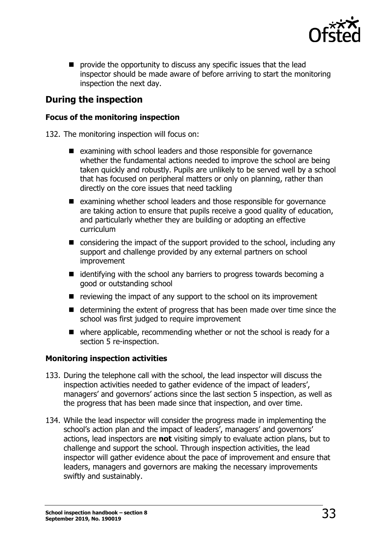

**P** provide the opportunity to discuss any specific issues that the lead inspector should be made aware of before arriving to start the monitoring inspection the next day.

# <span id="page-32-0"></span>**During the inspection**

#### **Focus of the monitoring inspection**

132. The monitoring inspection will focus on:

- examining with school leaders and those responsible for governance whether the fundamental actions needed to improve the school are being taken quickly and robustly. Pupils are unlikely to be served well by a school that has focused on peripheral matters or only on planning, rather than directly on the core issues that need tackling
- examining whether school leaders and those responsible for governance are taking action to ensure that pupils receive a good quality of education, and particularly whether they are building or adopting an effective curriculum
- considering the impact of the support provided to the school, including any support and challenge provided by any external partners on school improvement
- $\blacksquare$  identifying with the school any barriers to progress towards becoming a good or outstanding school
- $\blacksquare$  reviewing the impact of any support to the school on its improvement
- determining the extent of progress that has been made over time since the school was first judged to require improvement
- where applicable, recommending whether or not the school is ready for a section 5 re-inspection.

#### **Monitoring inspection activities**

- 133. During the telephone call with the school, the lead inspector will discuss the inspection activities needed to gather evidence of the impact of leaders', managers' and governors' actions since the last section 5 inspection, as well as the progress that has been made since that inspection, and over time.
- 134. While the lead inspector will consider the progress made in implementing the school's action plan and the impact of leaders', managers' and governors' actions, lead inspectors are **not** visiting simply to evaluate action plans, but to challenge and support the school. Through inspection activities, the lead inspector will gather evidence about the pace of improvement and ensure that leaders, managers and governors are making the necessary improvements swiftly and sustainably.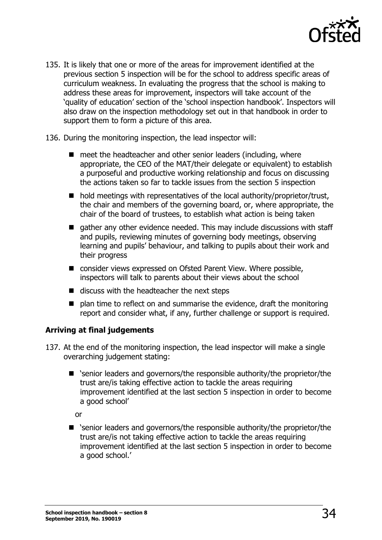

- 135. It is likely that one or more of the areas for improvement identified at the previous section 5 inspection will be for the school to address specific areas of curriculum weakness. In evaluating the progress that the school is making to address these areas for improvement, inspectors will take account of the 'quality of education' section of the 'school inspection handbook'. Inspectors will also draw on the inspection methodology set out in that handbook in order to support them to form a picture of this area.
- 136. During the monitoring inspection, the lead inspector will:
	- $\blacksquare$  meet the headteacher and other senior leaders (including, where appropriate, the CEO of the MAT/their delegate or equivalent) to establish a purposeful and productive working relationship and focus on discussing the actions taken so far to tackle issues from the section 5 inspection
	- $\blacksquare$  hold meetings with representatives of the local authority/proprietor/trust, the chair and members of the governing board, or, where appropriate, the chair of the board of trustees, to establish what action is being taken
	- $\blacksquare$  gather any other evidence needed. This may include discussions with staff and pupils, reviewing minutes of governing body meetings, observing learning and pupils' behaviour, and talking to pupils about their work and their progress
	- consider views expressed on Ofsted Parent View. Where possible, inspectors will talk to parents about their views about the school
	- $\blacksquare$  discuss with the headteacher the next steps
	- $\blacksquare$  plan time to reflect on and summarise the evidence, draft the monitoring report and consider what, if any, further challenge or support is required.

#### **Arriving at final judgements**

- 137. At the end of the monitoring inspection, the lead inspector will make a single overarching judgement stating:
	- 'senior leaders and governors/the responsible authority/the proprietor/the trust are/is taking effective action to tackle the areas requiring improvement identified at the last section 5 inspection in order to become a good school'

or

■ 'senior leaders and governors/the responsible authority/the proprietor/the trust are/is not taking effective action to tackle the areas requiring improvement identified at the last section 5 inspection in order to become a good school.'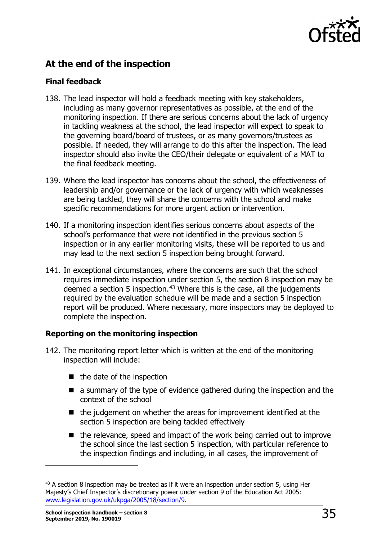

# <span id="page-34-0"></span>**At the end of the inspection**

#### **Final feedback**

- 138. The lead inspector will hold a feedback meeting with key stakeholders, including as many governor representatives as possible, at the end of the monitoring inspection. If there are serious concerns about the lack of urgency in tackling weakness at the school, the lead inspector will expect to speak to the governing board/board of trustees, or as many governors/trustees as possible. If needed, they will arrange to do this after the inspection. The lead inspector should also invite the CEO/their delegate or equivalent of a MAT to the final feedback meeting.
- 139. Where the lead inspector has concerns about the school, the effectiveness of leadership and/or governance or the lack of urgency with which weaknesses are being tackled, they will share the concerns with the school and make specific recommendations for more urgent action or intervention.
- 140. If a monitoring inspection identifies serious concerns about aspects of the school's performance that were not identified in the previous section 5 inspection or in any earlier monitoring visits, these will be reported to us and may lead to the next section 5 inspection being brought forward.
- 141. In exceptional circumstances, where the concerns are such that the school requires immediate inspection under section 5, the section 8 inspection may be deemed a section 5 inspection.<sup>[43](#page-34-1)</sup> Where this is the case, all the judgements required by the evaluation schedule will be made and a section 5 inspection report will be produced. Where necessary, more inspectors may be deployed to complete the inspection.

#### **Reporting on the monitoring inspection**

- 142. The monitoring report letter which is written at the end of the monitoring inspection will include:
	- $\blacksquare$  the date of the inspection
	- a summary of the type of evidence gathered during the inspection and the context of the school
	- $\blacksquare$  the judgement on whether the areas for improvement identified at the section 5 inspection are being tackled effectively
	- the relevance, speed and impact of the work being carried out to improve the school since the last section 5 inspection, with particular reference to the inspection findings and including, in all cases, the improvement of

<span id="page-34-1"></span> $43$  A section 8 inspection may be treated as if it were an inspection under section 5, using Her Majesty's Chief Inspector's discretionary power under section 9 of the Education Act 2005: [www.legislation.gov.uk/ukpga/2005/18/section/9.](http://www.legislation.gov.uk/ukpga/2005/18/section/9)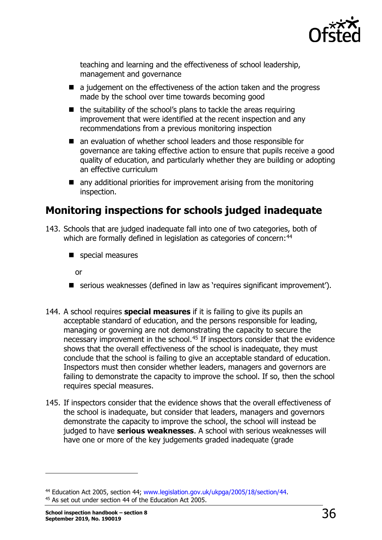

teaching and learning and the effectiveness of school leadership, management and governance

- $\blacksquare$  a judgement on the effectiveness of the action taken and the progress made by the school over time towards becoming good
- $\blacksquare$  the suitability of the school's plans to tackle the areas requiring improvement that were identified at the recent inspection and any recommendations from a previous monitoring inspection
- an evaluation of whether school leaders and those responsible for governance are taking effective action to ensure that pupils receive a good quality of education, and particularly whether they are building or adopting an effective curriculum
- any additional priorities for improvement arising from the monitoring inspection.

# <span id="page-35-0"></span>**Monitoring inspections for schools judged inadequate**

- 143. Schools that are judged inadequate fall into one of two categories, both of which are formally defined in legislation as categories of concern:<sup>[44](#page-35-1)</sup>
	- special measures

or

- serious weaknesses (defined in law as 'requires significant improvement').
- 144. A school requires **special measures** if it is failing to give its pupils an acceptable standard of education, and the persons responsible for leading, managing or governing are not demonstrating the capacity to secure the necessary improvement in the school.<sup>[45](#page-35-2)</sup> If inspectors consider that the evidence shows that the overall effectiveness of the school is inadequate, they must conclude that the school is failing to give an acceptable standard of education. Inspectors must then consider whether leaders, managers and governors are failing to demonstrate the capacity to improve the school. If so, then the school requires special measures.
- 145. If inspectors consider that the evidence shows that the overall effectiveness of the school is inadequate, but consider that leaders, managers and governors demonstrate the capacity to improve the school, the school will instead be judged to have **serious weaknesses**. A school with serious weaknesses will have one or more of the key judgements graded inadequate (grade

<span id="page-35-2"></span><span id="page-35-1"></span><sup>&</sup>lt;sup>44</sup> Education Act 2005, section 44; [www.legislation.gov.uk/ukpga/2005/18/section/44.](http://www.legislation.gov.uk/ukpga/2005/18/section/44)<br><sup>45</sup> As set out under section 44 of the Education Act 2005.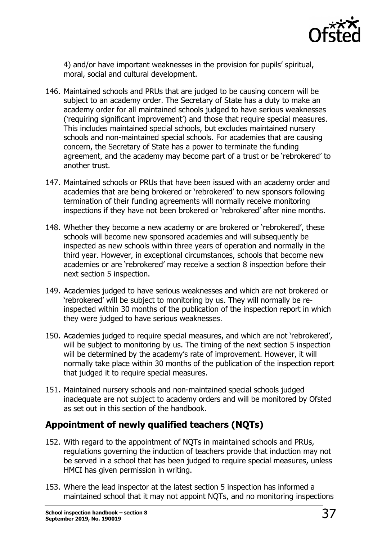

4) and/or have important weaknesses in the provision for pupils' spiritual, moral, social and cultural development.

- 146. Maintained schools and PRUs that are judged to be causing concern will be subject to an academy order. The Secretary of State has a duty to make an academy order for all maintained schools judged to have serious weaknesses ('requiring significant improvement') and those that require special measures. This includes maintained special schools, but excludes maintained nursery schools and non-maintained special schools. For academies that are causing concern, the Secretary of State has a power to terminate the funding agreement, and the academy may become part of a trust or be 'rebrokered' to another trust.
- 147. Maintained schools or PRUs that have been issued with an academy order and academies that are being brokered or 'rebrokered' to new sponsors following termination of their funding agreements will normally receive monitoring inspections if they have not been brokered or 'rebrokered' after nine months.
- 148. Whether they become a new academy or are brokered or 'rebrokered', these schools will become new sponsored academies and will subsequently be inspected as new schools within three years of operation and normally in the third year. However, in exceptional circumstances, schools that become new academies or are 'rebrokered' may receive a section 8 inspection before their next section 5 inspection.
- 149. Academies judged to have serious weaknesses and which are not brokered or 'rebrokered' will be subject to monitoring by us. They will normally be reinspected within 30 months of the publication of the inspection report in which they were judged to have serious weaknesses.
- 150. Academies judged to require special measures, and which are not 'rebrokered', will be subject to monitoring by us. The timing of the next section 5 inspection will be determined by the academy's rate of improvement. However, it will normally take place within 30 months of the publication of the inspection report that judged it to require special measures.
- 151. Maintained nursery schools and non-maintained special schools judged inadequate are not subject to academy orders and will be monitored by Ofsted as set out in this section of the handbook.

# **Appointment of newly qualified teachers (NQTs)**

- 152. With regard to the appointment of NQTs in maintained schools and PRUs, regulations governing the induction of teachers provide that induction may not be served in a school that has been judged to require special measures, unless HMCI has given permission in writing.
- 153. Where the lead inspector at the latest section 5 inspection has informed a maintained school that it may not appoint NQTs, and no monitoring inspections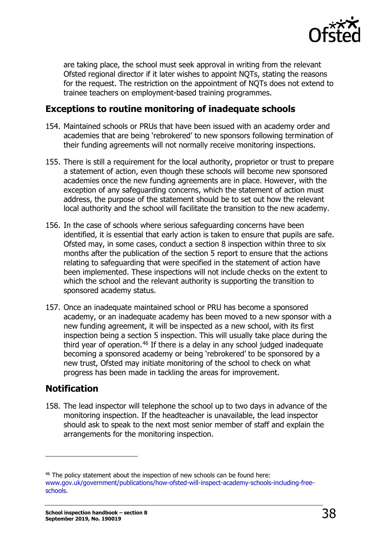

are taking place, the school must seek approval in writing from the relevant Ofsted regional director if it later wishes to appoint NQTs, stating the reasons for the request. The restriction on the appointment of NQTs does not extend to trainee teachers on employment-based training programmes.

### **Exceptions to routine monitoring of inadequate schools**

- 154. Maintained schools or PRUs that have been issued with an academy order and academies that are being 'rebrokered' to new sponsors following termination of their funding agreements will not normally receive monitoring inspections.
- 155. There is still a requirement for the local authority, proprietor or trust to prepare a statement of action, even though these schools will become new sponsored academies once the new funding agreements are in place. However, with the exception of any safeguarding concerns, which the statement of action must address, the purpose of the statement should be to set out how the relevant local authority and the school will facilitate the transition to the new academy.
- 156. In the case of schools where serious safeguarding concerns have been identified, it is essential that early action is taken to ensure that pupils are safe. Ofsted may, in some cases, conduct a section 8 inspection within three to six months after the publication of the section 5 report to ensure that the actions relating to safeguarding that were specified in the statement of action have been implemented. These inspections will not include checks on the extent to which the school and the relevant authority is supporting the transition to sponsored academy status.
- 157. Once an inadequate maintained school or PRU has become a sponsored academy, or an inadequate academy has been moved to a new sponsor with a new funding agreement, it will be inspected as a new school, with its first inspection being a section 5 inspection. This will usually take place during the third year of operation. $46$  If there is a delay in any school judged inadequate becoming a sponsored academy or being 'rebrokered' to be sponsored by a new trust, Ofsted may initiate monitoring of the school to check on what progress has been made in tackling the areas for improvement.

# <span id="page-37-0"></span>**Notification**

ł

158. The lead inspector will telephone the school up to two days in advance of the monitoring inspection. If the headteacher is unavailable, the lead inspector should ask to speak to the next most senior member of staff and explain the arrangements for the monitoring inspection.

<span id="page-37-1"></span><sup>46</sup> The policy statement about the inspection of new schools can be found here: [www.gov.uk/government/publications/how-ofsted-will-inspect-academy-schools-including-free](https://www.gov.uk/government/publications/how-ofsted-will-inspect-academy-schools-including-free-schools)[schools.](https://www.gov.uk/government/publications/how-ofsted-will-inspect-academy-schools-including-free-schools)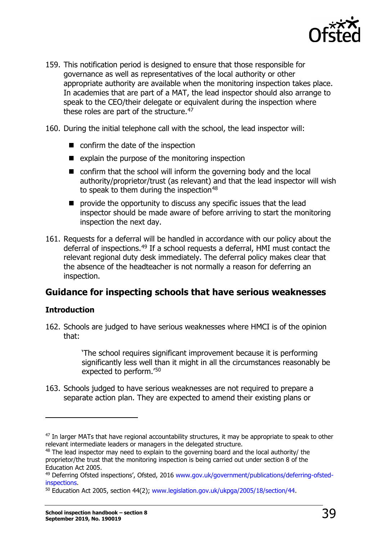

- 159. This notification period is designed to ensure that those responsible for governance as well as representatives of the local authority or other appropriate authority are available when the monitoring inspection takes place. In academies that are part of a MAT, the lead inspector should also arrange to speak to the CEO/their delegate or equivalent during the inspection where these roles are part of the structure. $47$
- 160. During the initial telephone call with the school, the lead inspector will:
	- confirm the date of the inspection
	- $\blacksquare$  explain the purpose of the monitoring inspection
	- confirm that the school will inform the governing body and the local authority/proprietor/trust (as relevant) and that the lead inspector will wish to speak to them during the inspection  $48$
	- **P** provide the opportunity to discuss any specific issues that the lead inspector should be made aware of before arriving to start the monitoring inspection the next day.
- 161. Requests for a deferral will be handled in accordance with our policy about the deferral of inspections.<sup>[49](#page-38-3)</sup> If a school requests a deferral, HMI must contact the relevant regional duty desk immediately. The deferral policy makes clear that the absence of the headteacher is not normally a reason for deferring an inspection.

# <span id="page-38-0"></span>**Guidance for inspecting schools that have serious weaknesses**

#### **Introduction**

ł

162. Schools are judged to have serious weaknesses where HMCI is of the opinion that:

> 'The school requires significant improvement because it is performing significantly less well than it might in all the circumstances reasonably be expected to perform.'[50](#page-38-4)

163. Schools judged to have serious weaknesses are not required to prepare a separate action plan. They are expected to amend their existing plans or

<span id="page-38-1"></span><sup>&</sup>lt;sup>47</sup> In larger MATs that have regional accountability structures, it may be appropriate to speak to other relevant intermediate leaders or managers in the delegated structure.

<span id="page-38-2"></span> $48$  The lead inspector may need to explain to the governing board and the local authority/ the proprietor/the trust that the monitoring inspection is being carried out under section 8 of the Education Act 2005.

<span id="page-38-3"></span><sup>49</sup> Deferring Ofsted inspections', Ofsted, 2016 [www.gov.uk/government/publications/deferring-ofsted](http://www.gov.uk/government/publications/deferring-ofsted-inspections)[inspections.](http://www.gov.uk/government/publications/deferring-ofsted-inspections)

<span id="page-38-4"></span><sup>&</sup>lt;sup>50</sup> Education Act 2005, section 44(2); [www.legislation.gov.uk/ukpga/2005/18/section/44.](http://www.legislation.gov.uk/ukpga/2005/18/section/44)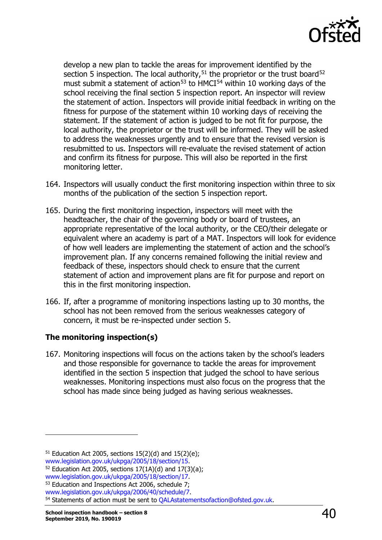

develop a new plan to tackle the areas for improvement identified by the section 5 inspection. The local authority,  $51$  the proprietor or the trust board  $52$ must submit a statement of action<sup>[53](#page-39-2)</sup> to HMCI<sup>[54](#page-39-3)</sup> within 10 working days of the school receiving the final section 5 inspection report. An inspector will review the statement of action. Inspectors will provide initial feedback in writing on the fitness for purpose of the statement within 10 working days of receiving the statement. If the statement of action is judged to be not fit for purpose, the local authority, the proprietor or the trust will be informed. They will be asked to address the weaknesses urgently and to ensure that the revised version is resubmitted to us. Inspectors will re-evaluate the revised statement of action and confirm its fitness for purpose. This will also be reported in the first monitoring letter.

- 164. Inspectors will usually conduct the first monitoring inspection within three to six months of the publication of the section 5 inspection report.
- 165. During the first monitoring inspection, inspectors will meet with the headteacher, the chair of the governing body or board of trustees, an appropriate representative of the local authority, or the CEO/their delegate or equivalent where an academy is part of a MAT. Inspectors will look for evidence of how well leaders are implementing the statement of action and the school's improvement plan. If any concerns remained following the initial review and feedback of these, inspectors should check to ensure that the current statement of action and improvement plans are fit for purpose and report on this in the first monitoring inspection.
- 166. If, after a programme of monitoring inspections lasting up to 30 months, the school has not been removed from the serious weaknesses category of concern, it must be re-inspected under section 5.

#### **The monitoring inspection(s)**

167. Monitoring inspections will focus on the actions taken by the school's leaders and those responsible for governance to tackle the areas for improvement identified in the section 5 inspection that judged the school to have serious weaknesses. Monitoring inspections must also focus on the progress that the school has made since being judged as having serious weaknesses.

<span id="page-39-0"></span><sup>&</sup>lt;sup>51</sup> Education Act 2005, sections  $15(2)(d)$  and  $15(2)(e)$ ; www.legislation.gov.uk/ukpga/2005/18/section/15.

<span id="page-39-1"></span><sup>&</sup>lt;sup>52</sup> Education Act 2005, sections  $17(1A)(d)$  and  $17(3)(a)$ ; www.legislation.gov.uk/ukpga/2005/18/section/17.

<span id="page-39-2"></span><sup>&</sup>lt;sup>53</sup> Education and Inspections Act 2006, schedule 7;<br>www.legislation.gov.uk/ukpga/2006/40/schedule/7.

<span id="page-39-3"></span><sup>54</sup> Statements of action must be sent to QALAstatements of action @ofsted.gov.uk.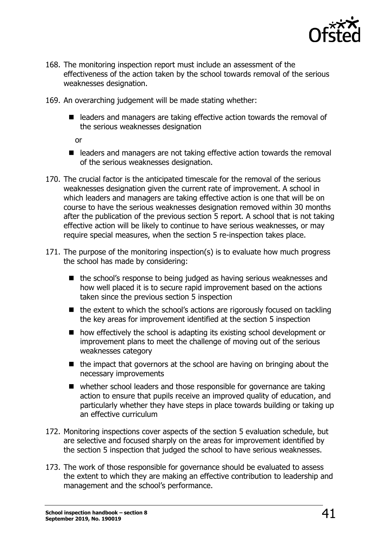

- 168. The monitoring inspection report must include an assessment of the effectiveness of the action taken by the school towards removal of the serious weaknesses designation.
- 169. An overarching judgement will be made stating whether:
	- leaders and managers are taking effective action towards the removal of the serious weaknesses designation

or

- $\blacksquare$  leaders and managers are not taking effective action towards the removal of the serious weaknesses designation.
- 170. The crucial factor is the anticipated timescale for the removal of the serious weaknesses designation given the current rate of improvement. A school in which leaders and managers are taking effective action is one that will be on course to have the serious weaknesses designation removed within 30 months after the publication of the previous section 5 report. A school that is not taking effective action will be likely to continue to have serious weaknesses, or may require special measures, when the section 5 re-inspection takes place.
- 171. The purpose of the monitoring inspection(s) is to evaluate how much progress the school has made by considering:
	- $\blacksquare$  the school's response to being judged as having serious weaknesses and how well placed it is to secure rapid improvement based on the actions taken since the previous section 5 inspection
	- $\blacksquare$  the extent to which the school's actions are rigorously focused on tackling the key areas for improvement identified at the section 5 inspection
	- how effectively the school is adapting its existing school development or improvement plans to meet the challenge of moving out of the serious weaknesses category
	- $\blacksquare$  the impact that governors at the school are having on bringing about the necessary improvements
	- whether school leaders and those responsible for governance are taking action to ensure that pupils receive an improved quality of education, and particularly whether they have steps in place towards building or taking up an effective curriculum
- 172. Monitoring inspections cover aspects of the section 5 evaluation schedule, but are selective and focused sharply on the areas for improvement identified by the section 5 inspection that judged the school to have serious weaknesses.
- 173. The work of those responsible for governance should be evaluated to assess the extent to which they are making an effective contribution to leadership and management and the school's performance.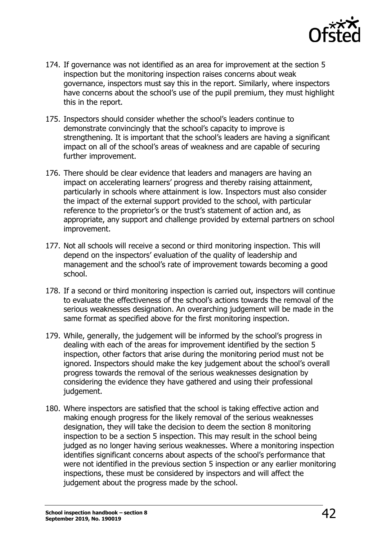

- 174. If governance was not identified as an area for improvement at the section 5 inspection but the monitoring inspection raises concerns about weak governance, inspectors must say this in the report. Similarly, where inspectors have concerns about the school's use of the pupil premium, they must highlight this in the report.
- 175. Inspectors should consider whether the school's leaders continue to demonstrate convincingly that the school's capacity to improve is strengthening. It is important that the school's leaders are having a significant impact on all of the school's areas of weakness and are capable of securing further improvement.
- 176. There should be clear evidence that leaders and managers are having an impact on accelerating learners' progress and thereby raising attainment, particularly in schools where attainment is low. Inspectors must also consider the impact of the external support provided to the school, with particular reference to the proprietor's or the trust's statement of action and, as appropriate, any support and challenge provided by external partners on school improvement.
- 177. Not all schools will receive a second or third monitoring inspection. This will depend on the inspectors' evaluation of the quality of leadership and management and the school's rate of improvement towards becoming a good school.
- 178. If a second or third monitoring inspection is carried out, inspectors will continue to evaluate the effectiveness of the school's actions towards the removal of the serious weaknesses designation. An overarching judgement will be made in the same format as specified above for the first monitoring inspection.
- 179. While, generally, the judgement will be informed by the school's progress in dealing with each of the areas for improvement identified by the section 5 inspection, other factors that arise during the monitoring period must not be ignored. Inspectors should make the key judgement about the school's overall progress towards the removal of the serious weaknesses designation by considering the evidence they have gathered and using their professional judgement.
- 180. Where inspectors are satisfied that the school is taking effective action and making enough progress for the likely removal of the serious weaknesses designation, they will take the decision to deem the section 8 monitoring inspection to be a section 5 inspection. This may result in the school being judged as no longer having serious weaknesses. Where a monitoring inspection identifies significant concerns about aspects of the school's performance that were not identified in the previous section 5 inspection or any earlier monitoring inspections, these must be considered by inspectors and will affect the judgement about the progress made by the school.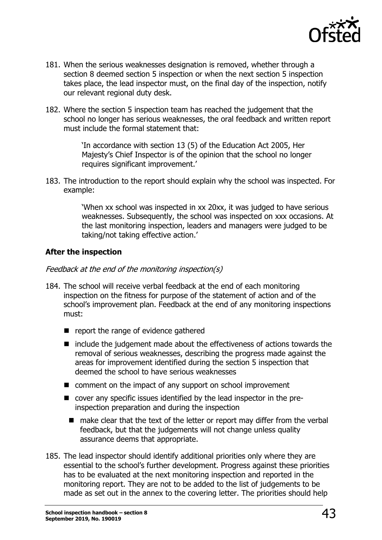

- 181. When the serious weaknesses designation is removed, whether through a section 8 deemed section 5 inspection or when the next section 5 inspection takes place, the lead inspector must, on the final day of the inspection, notify our relevant regional duty desk.
- 182. Where the section 5 inspection team has reached the judgement that the school no longer has serious weaknesses, the oral feedback and written report must include the formal statement that:

'In accordance with section 13 (5) of the Education Act 2005, Her Majesty's Chief Inspector is of the opinion that the school no longer requires significant improvement.'

183. The introduction to the report should explain why the school was inspected. For example:

> 'When xx school was inspected in xx 20xx, it was judged to have serious weaknesses. Subsequently, the school was inspected on xxx occasions. At the last monitoring inspection, leaders and managers were judged to be taking/not taking effective action.'

#### **After the inspection**

#### Feedback at the end of the monitoring inspection(s)

- 184. The school will receive verbal feedback at the end of each monitoring inspection on the fitness for purpose of the statement of action and of the school's improvement plan. Feedback at the end of any monitoring inspections must:
	- $\blacksquare$  report the range of evidence gathered
	- $\blacksquare$  include the judgement made about the effectiveness of actions towards the removal of serious weaknesses, describing the progress made against the areas for improvement identified during the section 5 inspection that deemed the school to have serious weaknesses
	- comment on the impact of any support on school improvement
	- cover any specific issues identified by the lead inspector in the preinspection preparation and during the inspection
		- make clear that the text of the letter or report may differ from the verbal feedback, but that the judgements will not change unless quality assurance deems that appropriate.
- 185. The lead inspector should identify additional priorities only where they are essential to the school's further development. Progress against these priorities has to be evaluated at the next monitoring inspection and reported in the monitoring report. They are not to be added to the list of judgements to be made as set out in the annex to the covering letter. The priorities should help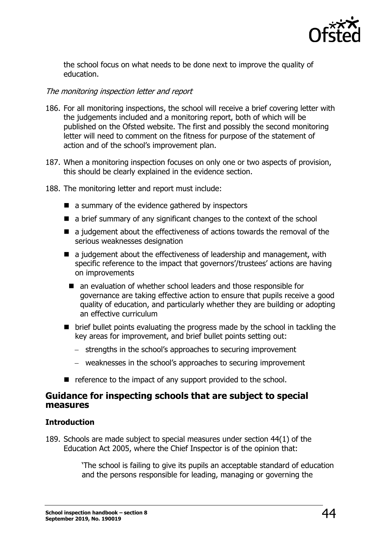

the school focus on what needs to be done next to improve the quality of education.

#### The monitoring inspection letter and report

- 186. For all monitoring inspections, the school will receive a brief covering letter with the judgements included and a monitoring report, both of which will be published on the Ofsted website. The first and possibly the second monitoring letter will need to comment on the fitness for purpose of the statement of action and of the school's improvement plan.
- 187. When a monitoring inspection focuses on only one or two aspects of provision, this should be clearly explained in the evidence section.
- 188. The monitoring letter and report must include:
	- $\blacksquare$  a summary of the evidence gathered by inspectors
	- $\blacksquare$  a brief summary of any significant changes to the context of the school
	- a judgement about the effectiveness of actions towards the removal of the serious weaknesses designation
	- $\blacksquare$  a judgement about the effectiveness of leadership and management, with specific reference to the impact that governors'/trustees' actions are having on improvements
		- an evaluation of whether school leaders and those responsible for governance are taking effective action to ensure that pupils receive a good quality of education, and particularly whether they are building or adopting an effective curriculum
	- brief bullet points evaluating the progress made by the school in tackling the key areas for improvement, and brief bullet points setting out:
		- − strengths in the school's approaches to securing improvement
		- − weaknesses in the school's approaches to securing improvement
	- reference to the impact of any support provided to the school.

#### <span id="page-43-0"></span>**Guidance for inspecting schools that are subject to special measures**

#### **Introduction**

189. Schools are made subject to special measures under section 44(1) of the Education Act 2005, where the Chief Inspector is of the opinion that:

> 'The school is failing to give its pupils an acceptable standard of education and the persons responsible for leading, managing or governing the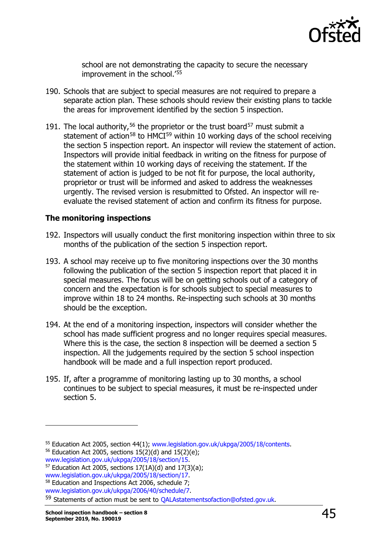

school are not demonstrating the capacity to secure the necessary improvement in the school.'[55](#page-44-0)

- 190. Schools that are subject to special measures are not required to prepare a separate action plan. These schools should review their existing plans to tackle the areas for improvement identified by the section 5 inspection.
- 191. The local authority,<sup>[56](#page-44-1)</sup> the proprietor or the trust board<sup>[57](#page-44-2)</sup> must submit a statement of action<sup>[58](#page-44-3)</sup> to HMCI<sup>[59](#page-44-4)</sup> within 10 working days of the school receiving the section 5 inspection report. An inspector will review the statement of action. Inspectors will provide initial feedback in writing on the fitness for purpose of the statement within 10 working days of receiving the statement. If the statement of action is judged to be not fit for purpose, the local authority, proprietor or trust will be informed and asked to address the weaknesses urgently. The revised version is resubmitted to Ofsted. An inspector will reevaluate the revised statement of action and confirm its fitness for purpose.

#### **The monitoring inspections**

- 192. Inspectors will usually conduct the first monitoring inspection within three to six months of the publication of the section 5 inspection report.
- 193. A school may receive up to five monitoring inspections over the 30 months following the publication of the section 5 inspection report that placed it in special measures. The focus will be on getting schools out of a category of concern and the expectation is for schools subject to special measures to improve within 18 to 24 months. Re-inspecting such schools at 30 months should be the exception.
- 194. At the end of a monitoring inspection, inspectors will consider whether the school has made sufficient progress and no longer requires special measures. Where this is the case, the section 8 inspection will be deemed a section 5 inspection. All the judgements required by the section 5 school inspection handbook will be made and a full inspection report produced.
- 195. If, after a programme of monitoring lasting up to 30 months, a school continues to be subject to special measures, it must be re-inspected under section 5.

<span id="page-44-1"></span><span id="page-44-0"></span><sup>&</sup>lt;sup>55</sup> Education Act 2005, section 44(1); [www.legislation.gov.uk/ukpga/2005/18/contents.](http://www.legislation.gov.uk/ukpga/2005/18/contents)<br><sup>56</sup> Education Act 2005, sections 15(2)(d) and 15(2)(e);<br>www.legislation.gov.uk/ukpga/2005/18/section/15.

<span id="page-44-2"></span><sup>&</sup>lt;sup>57</sup> Education Act 2005, sections  $17(1A)(d)$  and  $17(3)(a)$ ; www.legislation.gov.uk/ukpga/2005/18/section/17.

<span id="page-44-3"></span><sup>&</sup>lt;sup>58</sup> Education and Inspections Act 2006, schedule 7;<br>www.legislation.gov.uk/ukpga/2006/40/schedule/7.

<span id="page-44-4"></span><sup>59</sup> Statements of action must be sent to QALAstatements of action@ofsted.gov.uk.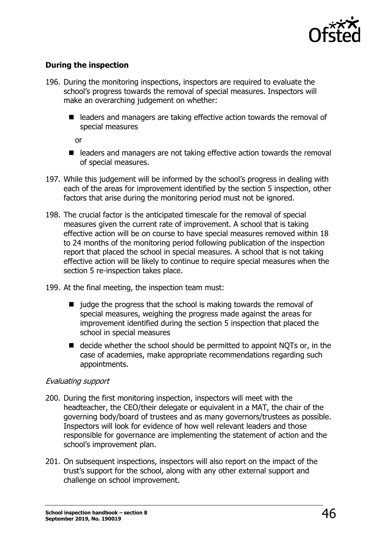

#### **During the inspection**

- 196. During the monitoring inspections, inspectors are required to evaluate the school's progress towards the removal of special measures. Inspectors will make an overarching judgement on whether:
	- leaders and managers are taking effective action towards the removal of special measures

or

- leaders and managers are not taking effective action towards the removal of special measures.
- 197. While this judgement will be informed by the school's progress in dealing with each of the areas for improvement identified by the section 5 inspection, other factors that arise during the monitoring period must not be ignored.
- 198. The crucial factor is the anticipated timescale for the removal of special measures given the current rate of improvement. A school that is taking effective action will be on course to have special measures removed within 18 to 24 months of the monitoring period following publication of the inspection report that placed the school in special measures. A school that is not taking effective action will be likely to continue to require special measures when the section 5 re-inspection takes place.
- 199. At the final meeting, the inspection team must:
	- $\blacksquare$  judge the progress that the school is making towards the removal of special measures, weighing the progress made against the areas for improvement identified during the section 5 inspection that placed the school in special measures
	- $\blacksquare$  decide whether the school should be permitted to appoint NOTs or, in the case of academies, make appropriate recommendations regarding such appointments.

#### Evaluating support

- 200. During the first monitoring inspection, inspectors will meet with the headteacher, the CEO/their delegate or equivalent in a MAT, the chair of the governing body/board of trustees and as many governors/trustees as possible. Inspectors will look for evidence of how well relevant leaders and those responsible for governance are implementing the statement of action and the school's improvement plan.
- 201. On subsequent inspections, inspectors will also report on the impact of the trust's support for the school, along with any other external support and challenge on school improvement.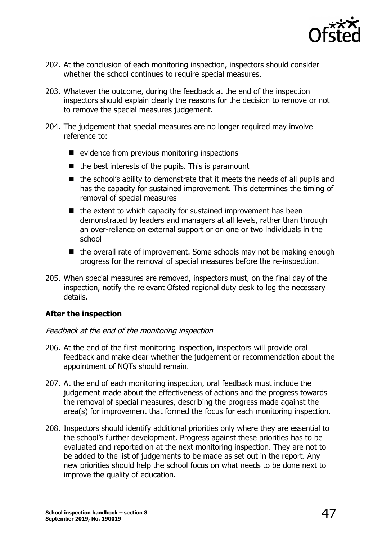

- 202. At the conclusion of each monitoring inspection, inspectors should consider whether the school continues to require special measures.
- 203. Whatever the outcome, during the feedback at the end of the inspection inspectors should explain clearly the reasons for the decision to remove or not to remove the special measures judgement.
- 204. The judgement that special measures are no longer required may involve reference to:
	- $\blacksquare$  evidence from previous monitoring inspections
	- $\blacksquare$  the best interests of the pupils. This is paramount
	- $\blacksquare$  the school's ability to demonstrate that it meets the needs of all pupils and has the capacity for sustained improvement. This determines the timing of removal of special measures
	- $\blacksquare$  the extent to which capacity for sustained improvement has been demonstrated by leaders and managers at all levels, rather than through an over-reliance on external support or on one or two individuals in the school
	- $\blacksquare$  the overall rate of improvement. Some schools may not be making enough progress for the removal of special measures before the re-inspection.
- 205. When special measures are removed, inspectors must, on the final day of the inspection, notify the relevant Ofsted regional duty desk to log the necessary details.

#### **After the inspection**

#### Feedback at the end of the monitoring inspection

- 206. At the end of the first monitoring inspection, inspectors will provide oral feedback and make clear whether the judgement or recommendation about the appointment of NQTs should remain.
- 207. At the end of each monitoring inspection, oral feedback must include the judgement made about the effectiveness of actions and the progress towards the removal of special measures, describing the progress made against the area(s) for improvement that formed the focus for each monitoring inspection.
- 208. Inspectors should identify additional priorities only where they are essential to the school's further development. Progress against these priorities has to be evaluated and reported on at the next monitoring inspection. They are not to be added to the list of judgements to be made as set out in the report. Any new priorities should help the school focus on what needs to be done next to improve the quality of education.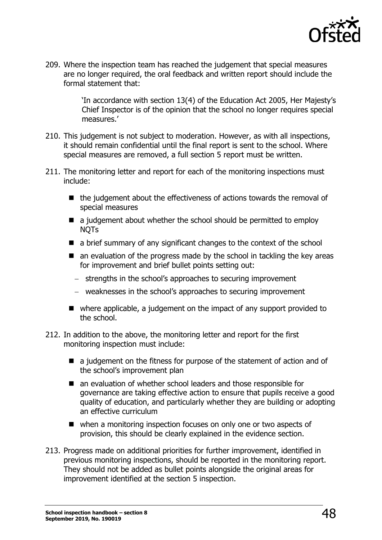

209. Where the inspection team has reached the judgement that special measures are no longer required, the oral feedback and written report should include the formal statement that:

> 'In accordance with section 13(4) of the Education Act 2005, Her Majesty's Chief Inspector is of the opinion that the school no longer requires special measures.'

- 210. This judgement is not subject to moderation. However, as with all inspections, it should remain confidential until the final report is sent to the school. Where special measures are removed, a full section 5 report must be written.
- 211. The monitoring letter and report for each of the monitoring inspections must include:
	- $\blacksquare$  the judgement about the effectiveness of actions towards the removal of special measures
	- $\blacksquare$  a judgement about whether the school should be permitted to employ NQTs
	- a brief summary of any significant changes to the context of the school
	- $\blacksquare$  an evaluation of the progress made by the school in tackling the key areas for improvement and brief bullet points setting out:
		- − strengths in the school's approaches to securing improvement
		- − weaknesses in the school's approaches to securing improvement
	- where applicable, a judgement on the impact of any support provided to the school.
- 212. In addition to the above, the monitoring letter and report for the first monitoring inspection must include:
	- $\blacksquare$  a judgement on the fitness for purpose of the statement of action and of the school's improvement plan
	- an evaluation of whether school leaders and those responsible for governance are taking effective action to ensure that pupils receive a good quality of education, and particularly whether they are building or adopting an effective curriculum
	- when a monitoring inspection focuses on only one or two aspects of provision, this should be clearly explained in the evidence section.
- 213. Progress made on additional priorities for further improvement, identified in previous monitoring inspections, should be reported in the monitoring report. They should not be added as bullet points alongside the original areas for improvement identified at the section 5 inspection.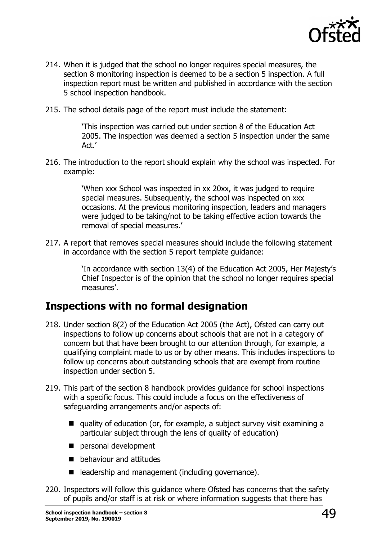

- 214. When it is judged that the school no longer requires special measures, the section 8 monitoring inspection is deemed to be a section 5 inspection. A full inspection report must be written and published in accordance with the section 5 school inspection handbook.
- 215. The school details page of the report must include the statement:

'This inspection was carried out under section 8 of the Education Act 2005. The inspection was deemed a section 5 inspection under the same Act.'

216. The introduction to the report should explain why the school was inspected. For example:

> 'When xxx School was inspected in xx 20xx, it was judged to require special measures. Subsequently, the school was inspected on xxx occasions. At the previous monitoring inspection, leaders and managers were judged to be taking/not to be taking effective action towards the removal of special measures.'

217. A report that removes special measures should include the following statement in accordance with the section 5 report template guidance:

> 'In accordance with section 13(4) of the Education Act 2005, Her Majesty's Chief Inspector is of the opinion that the school no longer requires special measures'.

# <span id="page-48-0"></span>**Inspections with no formal designation**

- 218. Under section 8(2) of the Education Act 2005 (the Act), Ofsted can carry out inspections to follow up concerns about schools that are not in a category of concern but that have been brought to our attention through, for example, a qualifying complaint made to us or by other means. This includes inspections to follow up concerns about outstanding schools that are exempt from routine inspection under section 5.
- 219. This part of the section 8 handbook provides guidance for school inspections with a specific focus. This could include a focus on the effectiveness of safeguarding arrangements and/or aspects of:
	- quality of education (or, for example, a subject survey visit examining a particular subject through the lens of quality of education)
	- personal development
	- **D** behaviour and attitudes
	- leadership and management (including governance).
- 220. Inspectors will follow this guidance where Ofsted has concerns that the safety of pupils and/or staff is at risk or where information suggests that there has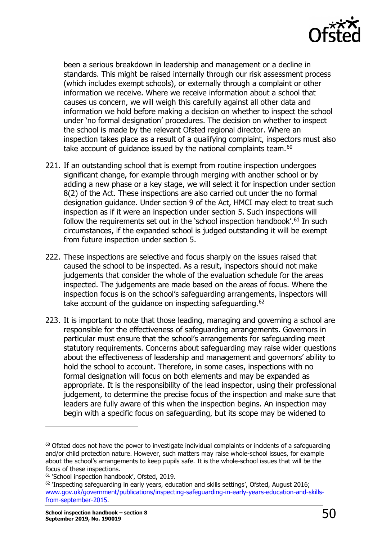

been a serious breakdown in leadership and management or a decline in standards. This might be raised internally through our risk assessment process (which includes exempt schools), or externally through a complaint or other information we receive. Where we receive information about a school that causes us concern, we will weigh this carefully against all other data and information we hold before making a decision on whether to inspect the school under 'no formal designation' procedures. The decision on whether to inspect the school is made by the relevant Ofsted regional director. Where an inspection takes place as a result of a qualifying complaint, inspectors must also take account of quidance issued by the national complaints team.<sup>[60](#page-49-0)</sup>

- 221. If an outstanding school that is exempt from routine inspection undergoes significant change, for example through merging with another school or by adding a new phase or a key stage, we will select it for inspection under section 8(2) of the Act. These inspections are also carried out under the no formal designation guidance. Under section 9 of the Act, HMCI may elect to treat such inspection as if it were an inspection under section 5. Such inspections will follow the requirements set out in the 'school inspection handbook'.<sup>[61](#page-49-1)</sup> In such circumstances, if the expanded school is judged outstanding it will be exempt from future inspection under section 5.
- 222. These inspections are selective and focus sharply on the issues raised that caused the school to be inspected. As a result, inspectors should not make judgements that consider the whole of the evaluation schedule for the areas inspected. The judgements are made based on the areas of focus. Where the inspection focus is on the school's safeguarding arrangements, inspectors will take account of the quidance on inspecting safeguarding.<sup>[62](#page-49-2)</sup>
- 223. It is important to note that those leading, managing and governing a school are responsible for the effectiveness of safeguarding arrangements. Governors in particular must ensure that the school's arrangements for safeguarding meet statutory requirements. Concerns about safeguarding may raise wider questions about the effectiveness of leadership and management and governors' ability to hold the school to account. Therefore, in some cases, inspections with no formal designation will focus on both elements and may be expanded as appropriate. It is the responsibility of the lead inspector, using their professional judgement, to determine the precise focus of the inspection and make sure that leaders are fully aware of this when the inspection begins. An inspection may begin with a specific focus on safeguarding, but its scope may be widened to

<span id="page-49-0"></span> $60$  Ofsted does not have the power to investigate individual complaints or incidents of a safeguarding and/or child protection nature. However, such matters may raise whole-school issues, for example about the school's arrangements to keep pupils safe. It is the whole-school issues that will be the focus of these inspections.

<span id="page-49-1"></span><sup>&</sup>lt;sup>61</sup> 'School inspection handbook', Ofsted, 2019.

<span id="page-49-2"></span> $62$  'Inspecting safeguarding in early years, education and skills settings', Ofsted, August 2016; [www.gov.uk/government/publications/inspecting-safeguarding-in-early-years-education-and-skills](http://www.gov.uk/government/publications/inspecting-safeguarding-in-early-years-education-and-skills-from-september-2015)[from-september-2015.](http://www.gov.uk/government/publications/inspecting-safeguarding-in-early-years-education-and-skills-from-september-2015)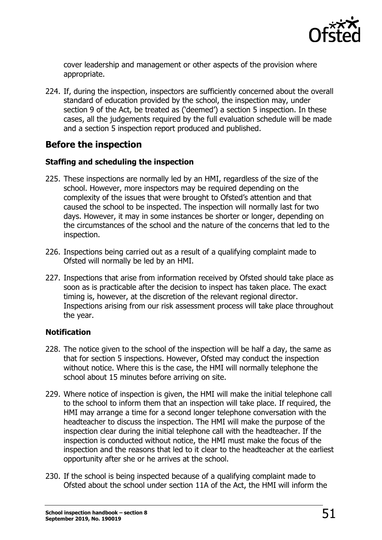

cover leadership and management or other aspects of the provision where appropriate.

224. If, during the inspection, inspectors are sufficiently concerned about the overall standard of education provided by the school, the inspection may, under section 9 of the Act, be treated as ('deemed') a section 5 inspection. In these cases, all the judgements required by the full evaluation schedule will be made and a section 5 inspection report produced and published.

### <span id="page-50-0"></span>**Before the inspection**

#### **Staffing and scheduling the inspection**

- 225. These inspections are normally led by an HMI, regardless of the size of the school. However, more inspectors may be required depending on the complexity of the issues that were brought to Ofsted's attention and that caused the school to be inspected. The inspection will normally last for two days. However, it may in some instances be shorter or longer, depending on the circumstances of the school and the nature of the concerns that led to the inspection.
- 226. Inspections being carried out as a result of a qualifying complaint made to Ofsted will normally be led by an HMI.
- 227. Inspections that arise from information received by Ofsted should take place as soon as is practicable after the decision to inspect has taken place. The exact timing is, however, at the discretion of the relevant regional director. Inspections arising from our risk assessment process will take place throughout the year.

#### **Notification**

- 228. The notice given to the school of the inspection will be half a day, the same as that for section 5 inspections. However, Ofsted may conduct the inspection without notice. Where this is the case, the HMI will normally telephone the school about 15 minutes before arriving on site.
- 229. Where notice of inspection is given, the HMI will make the initial telephone call to the school to inform them that an inspection will take place. If required, the HMI may arrange a time for a second longer telephone conversation with the headteacher to discuss the inspection. The HMI will make the purpose of the inspection clear during the initial telephone call with the headteacher. If the inspection is conducted without notice, the HMI must make the focus of the inspection and the reasons that led to it clear to the headteacher at the earliest opportunity after she or he arrives at the school.
- 230. If the school is being inspected because of a qualifying complaint made to Ofsted about the school under section 11A of the Act, the HMI will inform the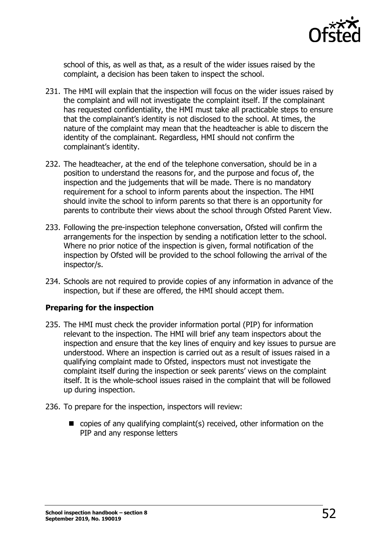

school of this, as well as that, as a result of the wider issues raised by the complaint, a decision has been taken to inspect the school.

- 231. The HMI will explain that the inspection will focus on the wider issues raised by the complaint and will not investigate the complaint itself. If the complainant has requested confidentiality, the HMI must take all practicable steps to ensure that the complainant's identity is not disclosed to the school. At times, the nature of the complaint may mean that the headteacher is able to discern the identity of the complainant. Regardless, HMI should not confirm the complainant's identity.
- 232. The headteacher, at the end of the telephone conversation, should be in a position to understand the reasons for, and the purpose and focus of, the inspection and the judgements that will be made. There is no mandatory requirement for a school to inform parents about the inspection. The HMI should invite the school to inform parents so that there is an opportunity for parents to contribute their views about the school through Ofsted Parent View.
- 233. Following the pre-inspection telephone conversation, Ofsted will confirm the arrangements for the inspection by sending a notification letter to the school. Where no prior notice of the inspection is given, formal notification of the inspection by Ofsted will be provided to the school following the arrival of the inspector/s.
- 234. Schools are not required to provide copies of any information in advance of the inspection, but if these are offered, the HMI should accept them.

#### **Preparing for the inspection**

- 235. The HMI must check the provider information portal (PIP) for information relevant to the inspection. The HMI will brief any team inspectors about the inspection and ensure that the key lines of enquiry and key issues to pursue are understood. Where an inspection is carried out as a result of issues raised in a qualifying complaint made to Ofsted, inspectors must not investigate the complaint itself during the inspection or seek parents' views on the complaint itself. It is the whole-school issues raised in the complaint that will be followed up during inspection.
- 236. To prepare for the inspection, inspectors will review:
	- $\blacksquare$  copies of any qualifying complaint(s) received, other information on the PIP and any response letters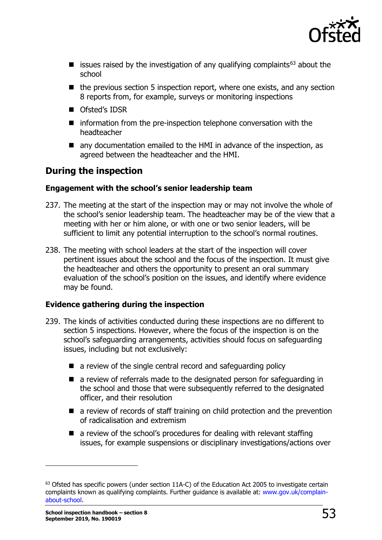

- **E** issues raised by the investigation of any qualifying complaints<sup>[63](#page-52-1)</sup> about the school
- $\blacksquare$  the previous section 5 inspection report, where one exists, and any section 8 reports from, for example, surveys or monitoring inspections
- Ofsted's IDSR
- $\blacksquare$  information from the pre-inspection telephone conversation with the headteacher
- any documentation emailed to the HMI in advance of the inspection, as agreed between the headteacher and the HMI.

# <span id="page-52-0"></span>**During the inspection**

#### **Engagement with the school's senior leadership team**

- 237. The meeting at the start of the inspection may or may not involve the whole of the school's senior leadership team. The headteacher may be of the view that a meeting with her or him alone, or with one or two senior leaders, will be sufficient to limit any potential interruption to the school's normal routines.
- 238. The meeting with school leaders at the start of the inspection will cover pertinent issues about the school and the focus of the inspection. It must give the headteacher and others the opportunity to present an oral summary evaluation of the school's position on the issues, and identify where evidence may be found.

#### **Evidence gathering during the inspection**

- 239. The kinds of activities conducted during these inspections are no different to section 5 inspections. However, where the focus of the inspection is on the school's safeguarding arrangements, activities should focus on safeguarding issues, including but not exclusively:
	- a review of the single central record and safeguarding policy
	- a review of referrals made to the designated person for safeguarding in the school and those that were subsequently referred to the designated officer, and their resolution
	- **E** a review of records of staff training on child protection and the prevention of radicalisation and extremism
	- $\blacksquare$  a review of the school's procedures for dealing with relevant staffing issues, for example suspensions or disciplinary investigations/actions over

<span id="page-52-1"></span><sup>&</sup>lt;sup>63</sup> Ofsted has specific powers (under section 11A-C) of the Education Act 2005 to investigate certain complaints known as qualifying complaints. Further guidance is available at: [www.gov.uk/complain](http://www.gov.uk/complain-about-school)[about-school.](http://www.gov.uk/complain-about-school)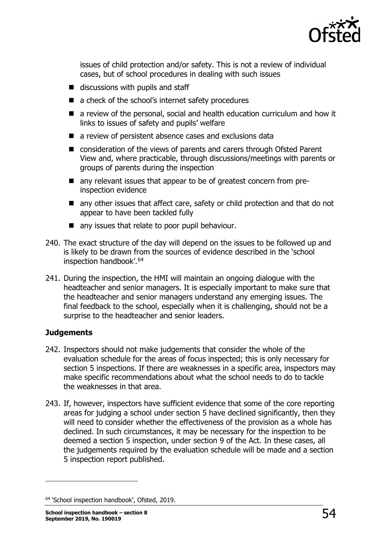

issues of child protection and/or safety. This is not a review of individual cases, but of school procedures in dealing with such issues

- $\blacksquare$  discussions with pupils and staff
- a check of the school's internet safety procedures
- a review of the personal, social and health education curriculum and how it links to issues of safety and pupils' welfare
- a review of persistent absence cases and exclusions data
- consideration of the views of parents and carers through Ofsted Parent View and, where practicable, through discussions/meetings with parents or groups of parents during the inspection
- any relevant issues that appear to be of greatest concern from preinspection evidence
- any other issues that affect care, safety or child protection and that do not appear to have been tackled fully
- any issues that relate to poor pupil behaviour.
- 240. The exact structure of the day will depend on the issues to be followed up and is likely to be drawn from the sources of evidence described in the 'school inspection handbook'.[64](#page-53-0)
- 241. During the inspection, the HMI will maintain an ongoing dialogue with the headteacher and senior managers. It is especially important to make sure that the headteacher and senior managers understand any emerging issues. The final feedback to the school, especially when it is challenging, should not be a surprise to the headteacher and senior leaders.

#### **Judgements**

- 242. Inspectors should not make judgements that consider the whole of the evaluation schedule for the areas of focus inspected; this is only necessary for section 5 inspections. If there are weaknesses in a specific area, inspectors may make specific recommendations about what the school needs to do to tackle the weaknesses in that area.
- 243. If, however, inspectors have sufficient evidence that some of the core reporting areas for judging a school under section 5 have declined significantly, then they will need to consider whether the effectiveness of the provision as a whole has declined. In such circumstances, it may be necessary for the inspection to be deemed a section 5 inspection, under section 9 of the Act. In these cases, all the judgements required by the evaluation schedule will be made and a section 5 inspection report published.

<span id="page-53-0"></span><sup>64 &#</sup>x27;School inspection handbook', Ofsted, 2019.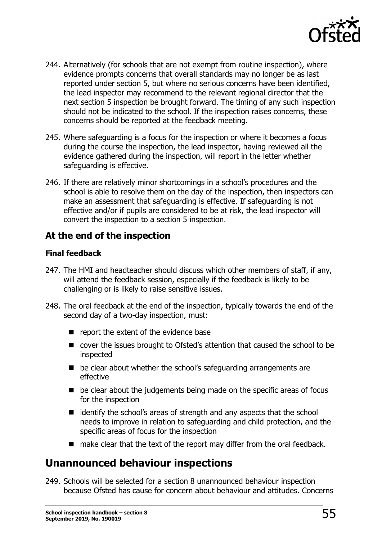

- 244. Alternatively (for schools that are not exempt from routine inspection), where evidence prompts concerns that overall standards may no longer be as last reported under section 5, but where no serious concerns have been identified, the lead inspector may recommend to the relevant regional director that the next section 5 inspection be brought forward. The timing of any such inspection should not be indicated to the school. If the inspection raises concerns, these concerns should be reported at the feedback meeting.
- 245. Where safeguarding is a focus for the inspection or where it becomes a focus during the course the inspection, the lead inspector, having reviewed all the evidence gathered during the inspection, will report in the letter whether safeguarding is effective.
- 246. If there are relatively minor shortcomings in a school's procedures and the school is able to resolve them on the day of the inspection, then inspectors can make an assessment that safeguarding is effective. If safeguarding is not effective and/or if pupils are considered to be at risk, the lead inspector will convert the inspection to a section 5 inspection.

# <span id="page-54-0"></span>**At the end of the inspection**

#### **Final feedback**

- 247. The HMI and headteacher should discuss which other members of staff, if any, will attend the feedback session, especially if the feedback is likely to be challenging or is likely to raise sensitive issues.
- 248. The oral feedback at the end of the inspection, typically towards the end of the second day of a two-day inspection, must:
	- $\blacksquare$  report the extent of the evidence base
	- cover the issues brought to Ofsted's attention that caused the school to be inspected
	- $\blacksquare$  be clear about whether the school's safeguarding arrangements are effective
	- $\blacksquare$  be clear about the judgements being made on the specific areas of focus for the inspection
	- $\blacksquare$  identify the school's areas of strength and any aspects that the school needs to improve in relation to safeguarding and child protection, and the specific areas of focus for the inspection
	- make clear that the text of the report may differ from the oral feedback.

# <span id="page-54-1"></span>**Unannounced behaviour inspections**

249. Schools will be selected for a section 8 unannounced behaviour inspection because Ofsted has cause for concern about behaviour and attitudes. Concerns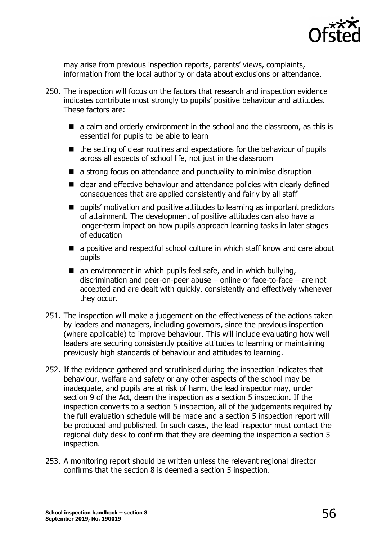

may arise from previous inspection reports, parents' views, complaints, information from the local authority or data about exclusions or attendance.

- 250. The inspection will focus on the factors that research and inspection evidence indicates contribute most strongly to pupils' positive behaviour and attitudes. These factors are:
	- a calm and orderly environment in the school and the classroom, as this is essential for pupils to be able to learn
	- $\blacksquare$  the setting of clear routines and expectations for the behaviour of pupils across all aspects of school life, not just in the classroom
	- a strong focus on attendance and punctuality to minimise disruption
	- clear and effective behaviour and attendance policies with clearly defined consequences that are applied consistently and fairly by all staff
	- **P** pupils' motivation and positive attitudes to learning as important predictors of attainment. The development of positive attitudes can also have a longer-term impact on how pupils approach learning tasks in later stages of education
	- a positive and respectful school culture in which staff know and care about pupils
	- $\blacksquare$  an environment in which pupils feel safe, and in which bullying, discrimination and peer-on-peer abuse – online or face-to-face – are not accepted and are dealt with quickly, consistently and effectively whenever they occur.
- 251. The inspection will make a judgement on the effectiveness of the actions taken by leaders and managers, including governors, since the previous inspection (where applicable) to improve behaviour. This will include evaluating how well leaders are securing consistently positive attitudes to learning or maintaining previously high standards of behaviour and attitudes to learning.
- 252. If the evidence gathered and scrutinised during the inspection indicates that behaviour, welfare and safety or any other aspects of the school may be inadequate, and pupils are at risk of harm, the lead inspector may, under section 9 of the Act, deem the inspection as a section 5 inspection. If the inspection converts to a section 5 inspection, all of the judgements required by the full evaluation schedule will be made and a section 5 inspection report will be produced and published. In such cases, the lead inspector must contact the regional duty desk to confirm that they are deeming the inspection a section 5 inspection.
- 253. A monitoring report should be written unless the relevant regional director confirms that the section 8 is deemed a section 5 inspection.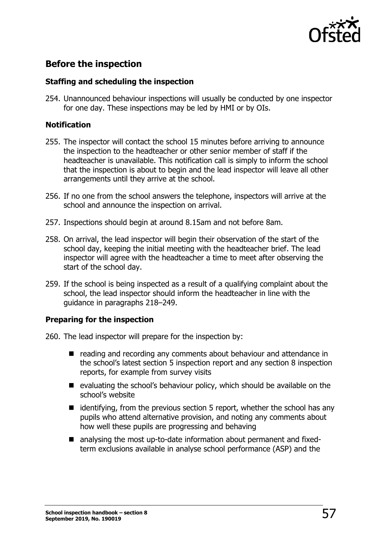

# <span id="page-56-0"></span>**Before the inspection**

#### **Staffing and scheduling the inspection**

254. Unannounced behaviour inspections will usually be conducted by one inspector for one day. These inspections may be led by HMI or by OIs.

#### **Notification**

- 255. The inspector will contact the school 15 minutes before arriving to announce the inspection to the headteacher or other senior member of staff if the headteacher is unavailable. This notification call is simply to inform the school that the inspection is about to begin and the lead inspector will leave all other arrangements until they arrive at the school.
- 256. If no one from the school answers the telephone, inspectors will arrive at the school and announce the inspection on arrival.
- 257. Inspections should begin at around 8.15am and not before 8am.
- 258. On arrival, the lead inspector will begin their observation of the start of the school day, keeping the initial meeting with the headteacher brief. The lead inspector will agree with the headteacher a time to meet after observing the start of the school day.
- 259. If the school is being inspected as a result of a qualifying complaint about the school, the lead inspector should inform the headteacher in line with the guidance in paragraphs 218–249.

#### **Preparing for the inspection**

260. The lead inspector will prepare for the inspection by:

- reading and recording any comments about behaviour and attendance in the school's latest section 5 inspection report and any section 8 inspection reports, for example from survey visits
- evaluating the school's behaviour policy, which should be available on the school's website
- $\blacksquare$  identifying, from the previous section 5 report, whether the school has any pupils who attend alternative provision, and noting any comments about how well these pupils are progressing and behaving
- analysing the most up-to-date information about permanent and fixedterm exclusions available in analyse school performance (ASP) and the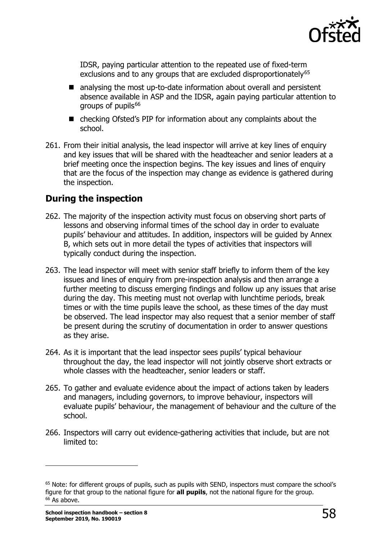

IDSR, paying particular attention to the repeated use of fixed-term exclusions and to any groups that are excluded disproportionately<sup>[65](#page-57-1)</sup>

- analysing the most up-to-date information about overall and persistent absence available in ASP and the IDSR, again paying particular attention to groups of pupils $66$
- checking Ofsted's PIP for information about any complaints about the school.
- 261. From their initial analysis, the lead inspector will arrive at key lines of enquiry and key issues that will be shared with the headteacher and senior leaders at a brief meeting once the inspection begins. The key issues and lines of enquiry that are the focus of the inspection may change as evidence is gathered during the inspection.

# <span id="page-57-0"></span>**During the inspection**

- 262. The majority of the inspection activity must focus on observing short parts of lessons and observing informal times of the school day in order to evaluate pupils' behaviour and attitudes. In addition, inspectors will be guided by Annex B, which sets out in more detail the types of activities that inspectors will typically conduct during the inspection.
- 263. The lead inspector will meet with senior staff briefly to inform them of the key issues and lines of enquiry from pre-inspection analysis and then arrange a further meeting to discuss emerging findings and follow up any issues that arise during the day. This meeting must not overlap with lunchtime periods, break times or with the time pupils leave the school, as these times of the day must be observed. The lead inspector may also request that a senior member of staff be present during the scrutiny of documentation in order to answer questions as they arise.
- 264. As it is important that the lead inspector sees pupils' typical behaviour throughout the day, the lead inspector will not jointly observe short extracts or whole classes with the headteacher, senior leaders or staff.
- 265. To gather and evaluate evidence about the impact of actions taken by leaders and managers, including governors, to improve behaviour, inspectors will evaluate pupils' behaviour, the management of behaviour and the culture of the school.
- 266. Inspectors will carry out evidence-gathering activities that include, but are not limited to:

<span id="page-57-2"></span><span id="page-57-1"></span><sup>&</sup>lt;sup>65</sup> Note: for different groups of pupils, such as pupils with SEND, inspectors must compare the school's figure for that group to the national figure for **all pupils**, not the national figure for the group.<br><sup>66</sup> As above.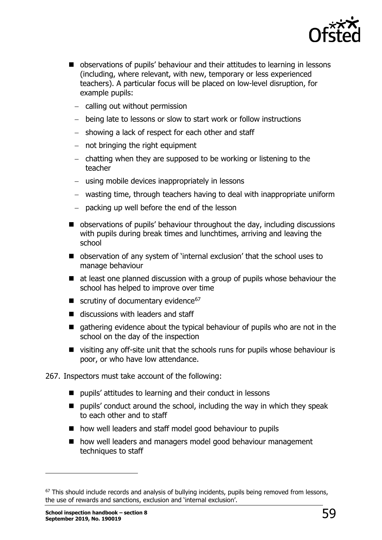

- **D** observations of pupils' behaviour and their attitudes to learning in lessons (including, where relevant, with new, temporary or less experienced teachers). A particular focus will be placed on low-level disruption, for example pupils:
	- − calling out without permission
	- − being late to lessons or slow to start work or follow instructions
	- − showing a lack of respect for each other and staff
	- − not bringing the right equipment
	- − chatting when they are supposed to be working or listening to the teacher
	- − using mobile devices inappropriately in lessons
	- − wasting time, through teachers having to deal with inappropriate uniform
	- − packing up well before the end of the lesson
- observations of pupils' behaviour throughout the day, including discussions with pupils during break times and lunchtimes, arriving and leaving the school
- observation of any system of 'internal exclusion' that the school uses to manage behaviour
- $\blacksquare$  at least one planned discussion with a group of pupils whose behaviour the school has helped to improve over time
- scrutiny of documentary evidence<sup>[67](#page-58-0)</sup>
- $\blacksquare$  discussions with leaders and staff
- qathering evidence about the typical behaviour of pupils who are not in the school on the day of the inspection
- visiting any off-site unit that the schools runs for pupils whose behaviour is poor, or who have low attendance.

267. Inspectors must take account of the following:

- pupils' attitudes to learning and their conduct in lessons
- $\blacksquare$  pupils' conduct around the school, including the way in which they speak to each other and to staff
- how well leaders and staff model good behaviour to pupils
- how well leaders and managers model good behaviour management techniques to staff

<span id="page-58-0"></span><sup>&</sup>lt;sup>67</sup> This should include records and analysis of bullying incidents, pupils being removed from lessons, the use of rewards and sanctions, exclusion and 'internal exclusion'.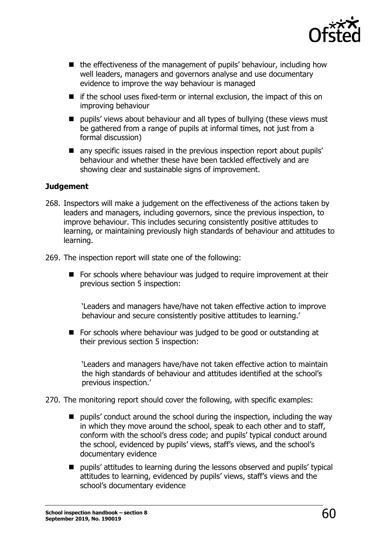![](_page_59_Picture_0.jpeg)

- the effectiveness of the management of pupils' behaviour, including how well leaders, managers and governors analyse and use documentary evidence to improve the way behaviour is managed
- $\blacksquare$  if the school uses fixed-term or internal exclusion, the impact of this on improving behaviour
- **P** pupils' views about behaviour and all types of bullying (these views must be gathered from a range of pupils at informal times, not just from a formal discussion)
- **T** any specific issues raised in the previous inspection report about pupils' behaviour and whether these have been tackled effectively and are showing clear and sustainable signs of improvement.

#### **Judgement**

- 268. Inspectors will make a judgement on the effectiveness of the actions taken by leaders and managers, including governors, since the previous inspection, to improve behaviour. This includes securing consistently positive attitudes to learning, or maintaining previously high standards of behaviour and attitudes to learning.
- 269. The inspection report will state one of the following:
	- **For schools where behaviour was judged to require improvement at their** previous section 5 inspection:

'Leaders and managers have/have not taken effective action to improve behaviour and secure consistently positive attitudes to learning.'

For schools where behaviour was judged to be good or outstanding at their previous section 5 inspection:

'Leaders and managers have/have not taken effective action to maintain the high standards of behaviour and attitudes identified at the school's previous inspection.'

270. The monitoring report should cover the following, with specific examples:

- **P** pupils' conduct around the school during the inspection, including the way in which they move around the school, speak to each other and to staff, conform with the school's dress code; and pupils' typical conduct around the school, evidenced by pupils' views, staff's views, and the school's documentary evidence
- pupils' attitudes to learning during the lessons observed and pupils' typical attitudes to learning, evidenced by pupils' views, staff's views and the school's documentary evidence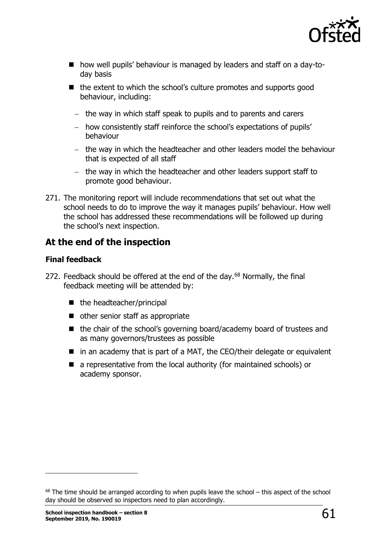![](_page_60_Picture_0.jpeg)

- how well pupils' behaviour is managed by leaders and staff on a day-today basis
- $\blacksquare$  the extent to which the school's culture promotes and supports good behaviour, including:
	- − the way in which staff speak to pupils and to parents and carers
	- − how consistently staff reinforce the school's expectations of pupils' behaviour
	- − the way in which the headteacher and other leaders model the behaviour that is expected of all staff
	- − the way in which the headteacher and other leaders support staff to promote good behaviour.
- 271. The monitoring report will include recommendations that set out what the school needs to do to improve the way it manages pupils' behaviour. How well the school has addressed these recommendations will be followed up during the school's next inspection.

# <span id="page-60-0"></span>**At the end of the inspection**

#### **Final feedback**

- 272. Feedback should be offered at the end of the day. $68$  Normally, the final feedback meeting will be attended by:
	- $\blacksquare$  the headteacher/principal
	- other senior staff as appropriate
	- the chair of the school's governing board/academy board of trustees and as many governors/trustees as possible
	- $\blacksquare$  in an academy that is part of a MAT, the CEO/their delegate or equivalent
	- a representative from the local authority (for maintained schools) or academy sponsor.

<span id="page-60-1"></span> $68$  The time should be arranged according to when pupils leave the school – this aspect of the school day should be observed so inspectors need to plan accordingly.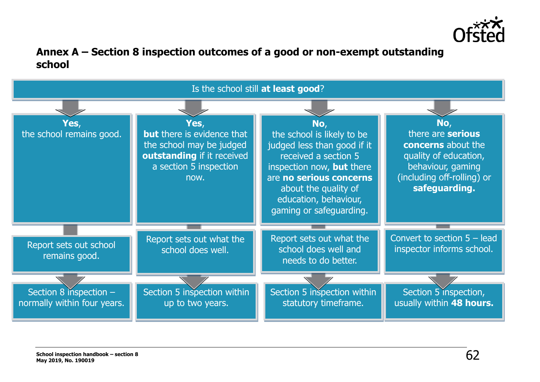![](_page_61_Picture_0.jpeg)

# **Annex A – Section 8 inspection outcomes of a good or non-exempt outstanding school**

<span id="page-61-0"></span>![](_page_61_Figure_2.jpeg)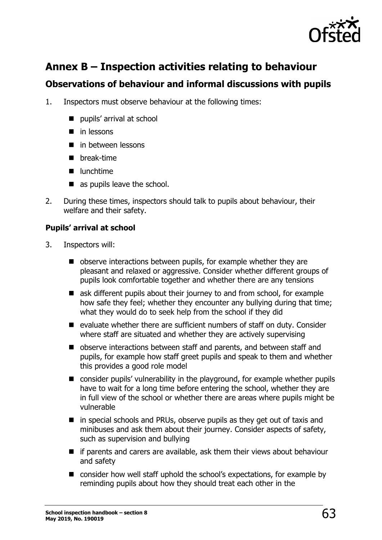![](_page_62_Picture_0.jpeg)

# <span id="page-62-0"></span>**Annex B – Inspection activities relating to behaviour**

# <span id="page-62-1"></span>**Observations of behaviour and informal discussions with pupils**

- 1. Inspectors must observe behaviour at the following times:
	- pupils' arrival at school
	- $\blacksquare$  in lessons
	- **in between lessons**
	- **n** break-time
	- unchtime
	- as pupils leave the school.
- 2. During these times, inspectors should talk to pupils about behaviour, their welfare and their safety.

#### **Pupils' arrival at school**

- 3. Inspectors will:
	- observe interactions between pupils, for example whether they are pleasant and relaxed or aggressive. Consider whether different groups of pupils look comfortable together and whether there are any tensions
	- ask different pupils about their journey to and from school, for example how safe they feel; whether they encounter any bullying during that time; what they would do to seek help from the school if they did
	- $\blacksquare$  evaluate whether there are sufficient numbers of staff on duty. Consider where staff are situated and whether they are actively supervising
	- observe interactions between staff and parents, and between staff and pupils, for example how staff greet pupils and speak to them and whether this provides a good role model
	- consider pupils' vulnerability in the playground, for example whether pupils have to wait for a long time before entering the school, whether they are in full view of the school or whether there are areas where pupils might be vulnerable
	- $\blacksquare$  in special schools and PRUs, observe pupils as they get out of taxis and minibuses and ask them about their journey. Consider aspects of safety, such as supervision and bullying
	- $\blacksquare$  if parents and carers are available, ask them their views about behaviour and safety
	- consider how well staff uphold the school's expectations, for example by reminding pupils about how they should treat each other in the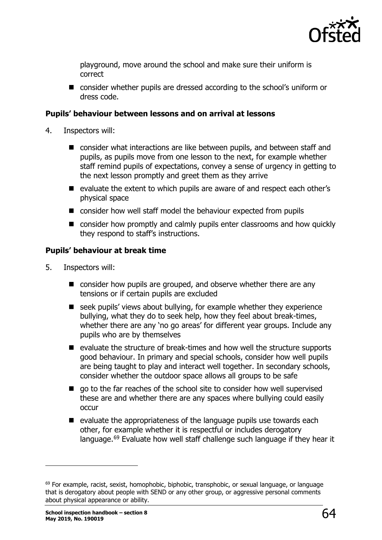![](_page_63_Picture_0.jpeg)

playground, move around the school and make sure their uniform is correct

■ consider whether pupils are dressed according to the school's uniform or dress code.

#### **Pupils' behaviour between lessons and on arrival at lessons**

- 4. Inspectors will:
	- consider what interactions are like between pupils, and between staff and pupils, as pupils move from one lesson to the next, for example whether staff remind pupils of expectations, convey a sense of urgency in getting to the next lesson promptly and greet them as they arrive
	- evaluate the extent to which pupils are aware of and respect each other's physical space
	- consider how well staff model the behaviour expected from pupils
	- consider how promptly and calmly pupils enter classrooms and how quickly they respond to staff's instructions.

#### **Pupils' behaviour at break time**

- 5. Inspectors will:
	- consider how pupils are grouped, and observe whether there are any tensions or if certain pupils are excluded
	- seek pupils' views about bullying, for example whether they experience bullying, what they do to seek help, how they feel about break-times, whether there are any 'no go areas' for different year groups. Include any pupils who are by themselves
	- $\blacksquare$  evaluate the structure of break-times and how well the structure supports good behaviour. In primary and special schools, consider how well pupils are being taught to play and interact well together. In secondary schools, consider whether the outdoor space allows all groups to be safe
	- qo to the far reaches of the school site to consider how well supervised these are and whether there are any spaces where bullying could easily occur
	- $\blacksquare$  evaluate the appropriateness of the language pupils use towards each other, for example whether it is respectful or includes derogatory language.<sup>[69](#page-63-0)</sup> Evaluate how well staff challenge such language if they hear it

<span id="page-63-0"></span> $69$  For example, racist, sexist, homophobic, biphobic, transphobic, or sexual language, or language that is derogatory about people with SEND or any other group, or aggressive personal comments about physical appearance or ability.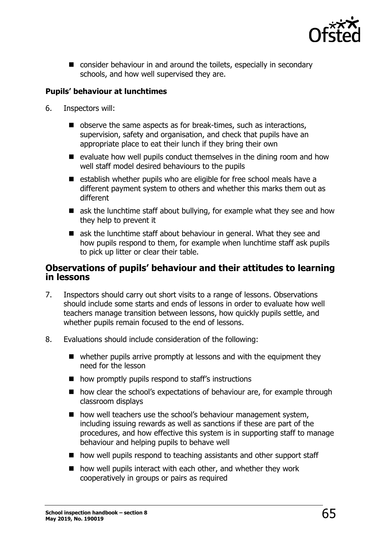![](_page_64_Picture_0.jpeg)

**n** consider behaviour in and around the toilets, especially in secondary schools, and how well supervised they are.

#### **Pupils' behaviour at lunchtimes**

- 6. Inspectors will:
	- observe the same aspects as for break-times, such as interactions, supervision, safety and organisation, and check that pupils have an appropriate place to eat their lunch if they bring their own
	- $\blacksquare$  evaluate how well pupils conduct themselves in the dining room and how well staff model desired behaviours to the pupils
	- establish whether pupils who are eligible for free school meals have a different payment system to others and whether this marks them out as different
	- $\blacksquare$  ask the lunchtime staff about bullying, for example what they see and how they help to prevent it
	- ask the lunchtime staff about behaviour in general. What they see and how pupils respond to them, for example when lunchtime staff ask pupils to pick up litter or clear their table.

#### <span id="page-64-0"></span>**Observations of pupils' behaviour and their attitudes to learning in lessons**

- 7. Inspectors should carry out short visits to a range of lessons. Observations should include some starts and ends of lessons in order to evaluate how well teachers manage transition between lessons, how quickly pupils settle, and whether pupils remain focused to the end of lessons.
- 8. Evaluations should include consideration of the following:
	- $\blacksquare$  whether pupils arrive promptly at lessons and with the equipment they need for the lesson
	- $\blacksquare$  how promptly pupils respond to staff's instructions
	- how clear the school's expectations of behaviour are, for example through classroom displays
	- how well teachers use the school's behaviour management system, including issuing rewards as well as sanctions if these are part of the procedures, and how effective this system is in supporting staff to manage behaviour and helping pupils to behave well
	- how well pupils respond to teaching assistants and other support staff
	- $\blacksquare$  how well pupils interact with each other, and whether they work cooperatively in groups or pairs as required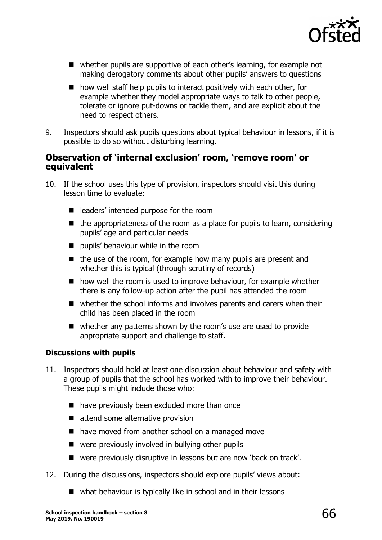![](_page_65_Picture_0.jpeg)

- whether pupils are supportive of each other's learning, for example not making derogatory comments about other pupils' answers to questions
- $\blacksquare$  how well staff help pupils to interact positively with each other, for example whether they model appropriate ways to talk to other people, tolerate or ignore put-downs or tackle them, and are explicit about the need to respect others.
- 9. Inspectors should ask pupils questions about typical behaviour in lessons, if it is possible to do so without disturbing learning.

#### <span id="page-65-0"></span>**Observation of 'internal exclusion' room, 'remove room' or equivalent**

- 10. If the school uses this type of provision, inspectors should visit this during lesson time to evaluate:
	- e leaders' intended purpose for the room
	- $\blacksquare$  the appropriateness of the room as a place for pupils to learn, considering pupils' age and particular needs
	- **pupils' behaviour while in the room**
	- $\blacksquare$  the use of the room, for example how many pupils are present and whether this is typical (through scrutiny of records)
	- how well the room is used to improve behaviour, for example whether there is any follow-up action after the pupil has attended the room
	- whether the school informs and involves parents and carers when their child has been placed in the room
	- whether any patterns shown by the room's use are used to provide appropriate support and challenge to staff.

#### **Discussions with pupils**

- 11. Inspectors should hold at least one discussion about behaviour and safety with a group of pupils that the school has worked with to improve their behaviour. These pupils might include those who:
	- have previously been excluded more than once
	- attend some alternative provision
	- have moved from another school on a managed move
	- were previously involved in bullying other pupils
	- were previously disruptive in lessons but are now 'back on track'.
- 12. During the discussions, inspectors should explore pupils' views about:
	- what behaviour is typically like in school and in their lessons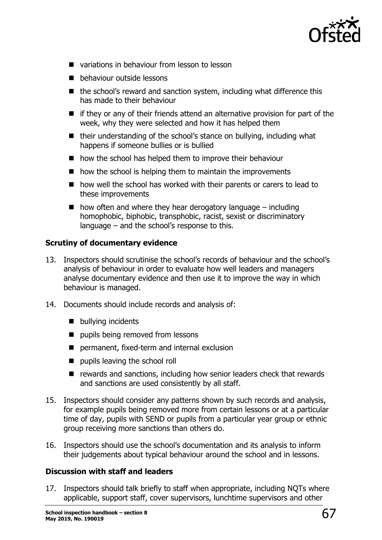![](_page_66_Picture_0.jpeg)

- variations in behaviour from lesson to lesson
- **b** behaviour outside lessons
- the school's reward and sanction system, including what difference this has made to their behaviour
- $\blacksquare$  if they or any of their friends attend an alternative provision for part of the week, why they were selected and how it has helped them
- $\blacksquare$  their understanding of the school's stance on bullying, including what happens if someone bullies or is bullied
- how the school has helped them to improve their behaviour
- $\blacksquare$  how the school is helping them to maintain the improvements
- how well the school has worked with their parents or carers to lead to these improvements
- $\blacksquare$  how often and where they hear derogatory language including homophobic, biphobic, transphobic, racist, sexist or discriminatory language – and the school's response to this.

#### **Scrutiny of documentary evidence**

- 13. Inspectors should scrutinise the school's records of behaviour and the school's analysis of behaviour in order to evaluate how well leaders and managers analyse documentary evidence and then use it to improve the way in which behaviour is managed.
- 14. Documents should include records and analysis of:
	- **bullying incidents**
	- **pupils being removed from lessons**
	- permanent, fixed-term and internal exclusion
	- pupils leaving the school roll
	- $\blacksquare$  rewards and sanctions, including how senior leaders check that rewards and sanctions are used consistently by all staff.
- 15. Inspectors should consider any patterns shown by such records and analysis, for example pupils being removed more from certain lessons or at a particular time of day, pupils with SEND or pupils from a particular year group or ethnic group receiving more sanctions than others do.
- 16. Inspectors should use the school's documentation and its analysis to inform their judgements about typical behaviour around the school and in lessons.

#### **Discussion with staff and leaders**

17. Inspectors should talk briefly to staff when appropriate, including NQTs where applicable, support staff, cover supervisors, lunchtime supervisors and other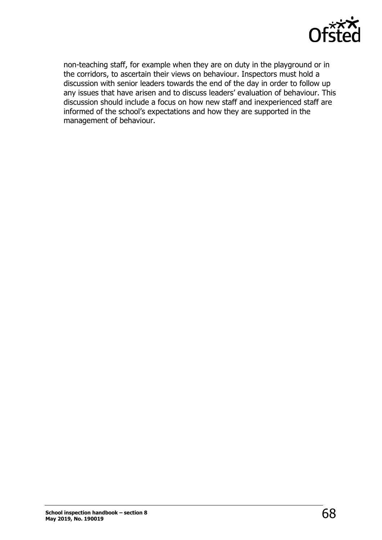![](_page_67_Picture_0.jpeg)

non-teaching staff, for example when they are on duty in the playground or in the corridors, to ascertain their views on behaviour. Inspectors must hold a discussion with senior leaders towards the end of the day in order to follow up any issues that have arisen and to discuss leaders' evaluation of behaviour. This discussion should include a focus on how new staff and inexperienced staff are informed of the school's expectations and how they are supported in the management of behaviour.